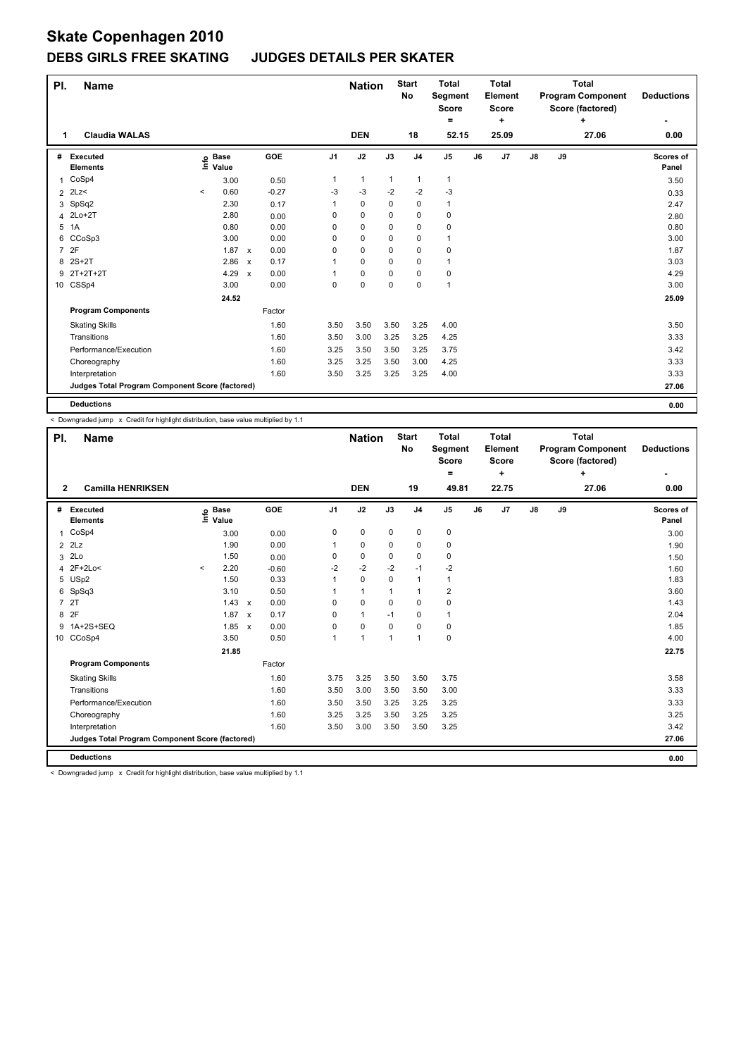## **DEBS GIRLS FREE SKATING JUDGES DETAILS PER SKATER**

| PI.            | <b>Name</b>                                     |         |                   |                           |         |                | <b>Nation</b> |              | <b>Start</b><br>No | <b>Total</b><br>Segment<br><b>Score</b><br>$=$ |    | <b>Total</b><br>Element<br><b>Score</b><br>÷ |               |    | <b>Total</b><br><b>Program Component</b><br>Score (factored)<br>÷ | <b>Deductions</b>  |
|----------------|-------------------------------------------------|---------|-------------------|---------------------------|---------|----------------|---------------|--------------|--------------------|------------------------------------------------|----|----------------------------------------------|---------------|----|-------------------------------------------------------------------|--------------------|
|                | <b>Claudia WALAS</b>                            |         |                   |                           |         |                | <b>DEN</b>    |              | 18                 | 52.15                                          |    | 25.09                                        |               |    | 27.06                                                             | 0.00               |
| #              | Executed<br><b>Elements</b>                     |         | e Base<br>⊆ Value |                           | GOE     | J <sub>1</sub> | J2            | J3           | J <sub>4</sub>     | J <sub>5</sub>                                 | J6 | J <sub>7</sub>                               | $\mathsf{J}8$ | J9 |                                                                   | Scores of<br>Panel |
| 1              | CoSp4                                           |         | 3.00              |                           | 0.50    | 1              | $\mathbf{1}$  | $\mathbf{1}$ | 1                  | $\mathbf{1}$                                   |    |                                              |               |    |                                                                   | 3.50               |
| $\overline{2}$ | 2Lz                                             | $\,<\,$ | 0.60              |                           | $-0.27$ | -3             | $-3$          | $-2$         | $-2$               | $-3$                                           |    |                                              |               |    |                                                                   | 0.33               |
|                | 3 SpSq2                                         |         | 2.30              |                           | 0.17    | 1              | 0             | 0            | 0                  | $\mathbf{1}$                                   |    |                                              |               |    |                                                                   | 2.47               |
|                | 4 2Lo+2T                                        |         | 2.80              |                           | 0.00    | 0              | 0             | 0            | $\Omega$           | 0                                              |    |                                              |               |    |                                                                   | 2.80               |
| 5              | 1A                                              |         | 0.80              |                           | 0.00    | 0              | 0             | 0            | 0                  | $\pmb{0}$                                      |    |                                              |               |    |                                                                   | 0.80               |
|                | 6 CCoSp3                                        |         | 3.00              |                           | 0.00    | 0              | 0             | 0            | 0                  | $\overline{1}$                                 |    |                                              |               |    |                                                                   | 3.00               |
| $\overline{7}$ | 2F                                              |         | 1.87              | $\boldsymbol{\mathsf{x}}$ | 0.00    | $\Omega$       | 0             | $\Omega$     | 0                  | $\mathbf 0$                                    |    |                                              |               |    |                                                                   | 1.87               |
|                | 8 2S+2T                                         |         | 2.86              | $\boldsymbol{\mathsf{x}}$ | 0.17    | 1              | 0             | 0            | 0                  | $\mathbf{1}$                                   |    |                                              |               |    |                                                                   | 3.03               |
| 9              | 2T+2T+2T                                        |         | 4.29              | $\boldsymbol{\mathsf{x}}$ | 0.00    |                | 0             | 0            | 0                  | 0                                              |    |                                              |               |    |                                                                   | 4.29               |
|                | 10 CSSp4                                        |         | 3.00              |                           | 0.00    | 0              | 0             | 0            | 0                  | 1                                              |    |                                              |               |    |                                                                   | 3.00               |
|                |                                                 |         | 24.52             |                           |         |                |               |              |                    |                                                |    |                                              |               |    |                                                                   | 25.09              |
|                | <b>Program Components</b>                       |         |                   |                           | Factor  |                |               |              |                    |                                                |    |                                              |               |    |                                                                   |                    |
|                | <b>Skating Skills</b>                           |         |                   |                           | 1.60    | 3.50           | 3.50          | 3.50         | 3.25               | 4.00                                           |    |                                              |               |    |                                                                   | 3.50               |
|                | Transitions                                     |         |                   |                           | 1.60    | 3.50           | 3.00          | 3.25         | 3.25               | 4.25                                           |    |                                              |               |    |                                                                   | 3.33               |
|                | Performance/Execution                           |         |                   |                           | 1.60    | 3.25           | 3.50          | 3.50         | 3.25               | 3.75                                           |    |                                              |               |    |                                                                   | 3.42               |
|                | Choreography                                    |         |                   |                           | 1.60    | 3.25           | 3.25          | 3.50         | 3.00               | 4.25                                           |    |                                              |               |    |                                                                   | 3.33               |
|                | Interpretation                                  |         |                   |                           | 1.60    | 3.50           | 3.25          | 3.25         | 3.25               | 4.00                                           |    |                                              |               |    |                                                                   | 3.33               |
|                | Judges Total Program Component Score (factored) |         |                   |                           |         |                |               |              |                    |                                                |    |                                              |               |    |                                                                   | 27.06              |
|                | <b>Deductions</b>                               |         |                   |                           |         |                |               |              |                    |                                                |    |                                              |               |    |                                                                   | 0.00               |

< Downgraded jump x Credit for highlight distribution, base value multiplied by 1.1

| PI.            | <b>Name</b>                                     |         |                      |                           |            |                | <b>Nation</b>  |             | <b>Start</b><br>No | Total<br>Segment<br>Score<br>= |    | Total<br>Element<br><b>Score</b><br>÷ |    |    | Total<br><b>Program Component</b><br>Score (factored)<br>÷ | <b>Deductions</b><br>٠ |
|----------------|-------------------------------------------------|---------|----------------------|---------------------------|------------|----------------|----------------|-------------|--------------------|--------------------------------|----|---------------------------------------|----|----|------------------------------------------------------------|------------------------|
| $\mathbf{2}$   | <b>Camilla HENRIKSEN</b>                        |         |                      |                           |            |                | <b>DEN</b>     |             | 19                 | 49.81                          |    | 22.75                                 |    |    | 27.06                                                      | 0.00                   |
| #              | Executed<br><b>Elements</b>                     | lnfo    | <b>Base</b><br>Value |                           | <b>GOE</b> | J <sub>1</sub> | J2             | J3          | J <sub>4</sub>     | J <sub>5</sub>                 | J6 | J <sub>7</sub>                        | J8 | J9 |                                                            | Scores of<br>Panel     |
| 1              | CoSp4                                           |         | 3.00                 |                           | 0.00       | 0              | 0              | 0           | 0                  | 0                              |    |                                       |    |    |                                                            | 3.00                   |
| $\overline{2}$ | 2Lz                                             |         | 1.90                 |                           | 0.00       | 1              | $\mathbf 0$    | $\mathbf 0$ | $\mathbf 0$        | $\pmb{0}$                      |    |                                       |    |    |                                                            | 1.90                   |
| 3              | 2Lo                                             |         | 1.50                 |                           | 0.00       | $\Omega$       | $\mathbf 0$    | $\Omega$    | 0                  | 0                              |    |                                       |    |    |                                                            | 1.50                   |
| 4              | 2F+2Lo<                                         | $\prec$ | 2.20                 |                           | $-0.60$    | $-2$           | $-2$           | $-2$        | $-1$               | $-2$                           |    |                                       |    |    |                                                            | 1.60                   |
| 5              | USp2                                            |         | 1.50                 |                           | 0.33       | 1              | $\mathbf 0$    | 0           | $\mathbf{1}$       | $\mathbf{1}$                   |    |                                       |    |    |                                                            | 1.83                   |
| 6              | SpSq3                                           |         | 3.10                 |                           | 0.50       | $\mathbf 1$    | $\mathbf{1}$   | 1           | $\mathbf{1}$       | $\overline{\mathbf{c}}$        |    |                                       |    |    |                                                            | 3.60                   |
| $\overline{7}$ | 2T                                              |         | 1.43                 | $\mathsf{x}$              | 0.00       | 0              | $\mathbf 0$    | $\mathbf 0$ | $\mathbf 0$        | $\pmb{0}$                      |    |                                       |    |    |                                                            | 1.43                   |
| 8              | 2F                                              |         | 1.87                 | $\boldsymbol{\mathsf{x}}$ | 0.17       | 0              | $\mathbf{1}$   | $-1$        | 0                  | $\mathbf{1}$                   |    |                                       |    |    |                                                            | 2.04                   |
| 9              | 1A+2S+SEQ                                       |         | 1.85                 | $\boldsymbol{\mathsf{x}}$ | 0.00       | 0              | $\pmb{0}$      | 0           | 0                  | 0                              |    |                                       |    |    |                                                            | 1.85                   |
|                | 10 CCoSp4                                       |         | 3.50                 |                           | 0.50       | 1              | $\overline{1}$ | 1           | $\mathbf{1}$       | $\mathbf 0$                    |    |                                       |    |    |                                                            | 4.00                   |
|                |                                                 |         | 21.85                |                           |            |                |                |             |                    |                                |    |                                       |    |    |                                                            | 22.75                  |
|                | <b>Program Components</b>                       |         |                      |                           | Factor     |                |                |             |                    |                                |    |                                       |    |    |                                                            |                        |
|                | <b>Skating Skills</b>                           |         |                      |                           | 1.60       | 3.75           | 3.25           | 3.50        | 3.50               | 3.75                           |    |                                       |    |    |                                                            | 3.58                   |
|                | Transitions                                     |         |                      |                           | 1.60       | 3.50           | 3.00           | 3.50        | 3.50               | 3.00                           |    |                                       |    |    |                                                            | 3.33                   |
|                | Performance/Execution                           |         |                      |                           | 1.60       | 3.50           | 3.50           | 3.25        | 3.25               | 3.25                           |    |                                       |    |    |                                                            | 3.33                   |
|                | Choreography                                    |         |                      |                           | 1.60       | 3.25           | 3.25           | 3.50        | 3.25               | 3.25                           |    |                                       |    |    |                                                            | 3.25                   |
|                | Interpretation                                  |         |                      |                           | 1.60       | 3.50           | 3.00           | 3.50        | 3.50               | 3.25                           |    |                                       |    |    |                                                            | 3.42                   |
|                | Judges Total Program Component Score (factored) |         |                      |                           |            |                |                |             |                    |                                |    |                                       |    |    |                                                            | 27.06                  |
|                | <b>Deductions</b>                               |         |                      |                           |            |                |                |             |                    |                                |    |                                       |    |    |                                                            | 0.00                   |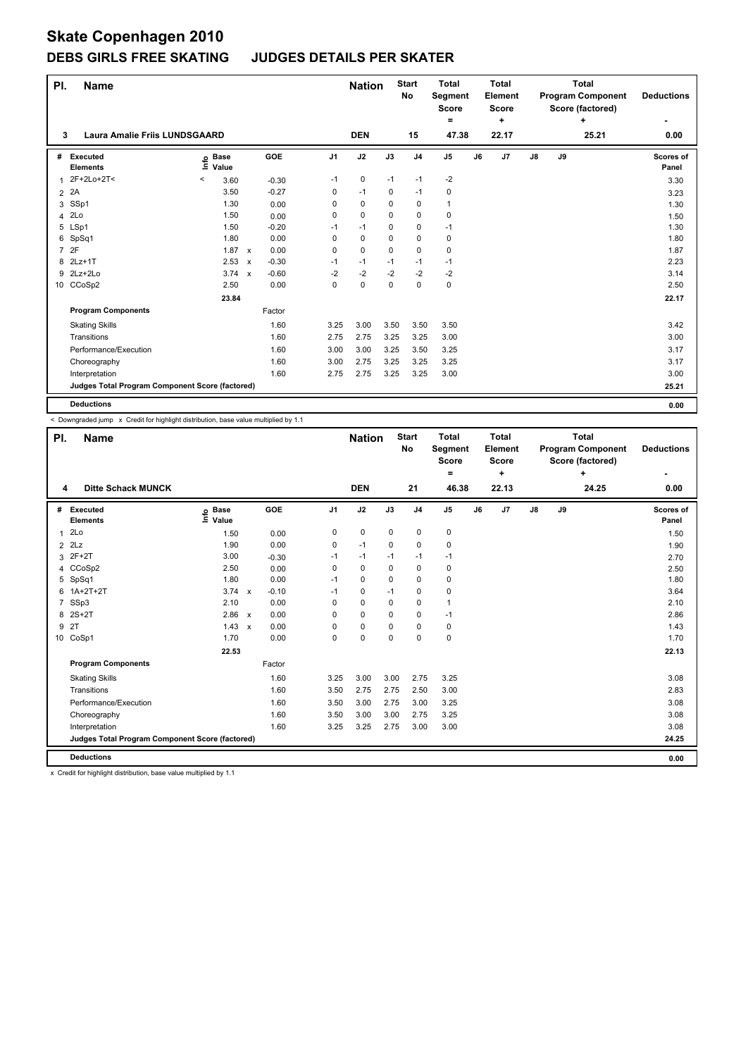## **DEBS GIRLS FREE SKATING JUDGES DETAILS PER SKATER**

| PI.            | <b>Name</b>                                     |                            |                           |         |                | <b>Nation</b> |          | <b>Start</b><br>No | <b>Total</b><br>Segment<br><b>Score</b><br>$=$ |    | <b>Total</b><br>Element<br><b>Score</b><br>٠ |               |    | <b>Total</b><br><b>Program Component</b><br>Score (factored)<br>٠ | <b>Deductions</b>  |
|----------------|-------------------------------------------------|----------------------------|---------------------------|---------|----------------|---------------|----------|--------------------|------------------------------------------------|----|----------------------------------------------|---------------|----|-------------------------------------------------------------------|--------------------|
| 3              | <b>Laura Amalie Friis LUNDSGAARD</b>            |                            |                           |         |                | <b>DEN</b>    |          | 15                 | 47.38                                          |    | 22.17                                        |               |    | 25.21                                                             | 0.00               |
| #              | Executed<br><b>Elements</b>                     | e Base<br>E Value<br>Value |                           | GOE     | J <sub>1</sub> | J2            | J3       | J <sub>4</sub>     | $\mathsf{J}5$                                  | J6 | J7                                           | $\mathsf{J}8$ | J9 |                                                                   | Scores of<br>Panel |
|                | 2F+2Lo+2T<                                      | 3.60<br>$\,<\,$            |                           | $-0.30$ | $-1$           | 0             | $-1$     | $-1$               | $-2$                                           |    |                                              |               |    |                                                                   | 3.30               |
| 2              | 2A                                              | 3.50                       |                           | $-0.27$ | 0              | $-1$          | 0        | $-1$               | $\pmb{0}$                                      |    |                                              |               |    |                                                                   | 3.23               |
|                | 3 SSp1                                          | 1.30                       |                           | 0.00    | 0              | $\mathbf 0$   | 0        | 0                  | $\overline{1}$                                 |    |                                              |               |    |                                                                   | 1.30               |
|                | 4 2Lo                                           | 1.50                       |                           | 0.00    | 0              | 0             | 0        | $\Omega$           | 0                                              |    |                                              |               |    |                                                                   | 1.50               |
|                | 5 LSp1                                          | 1.50                       |                           | $-0.20$ | $-1$           | $-1$          | 0        | 0                  | $-1$                                           |    |                                              |               |    |                                                                   | 1.30               |
|                | 6 SpSq1                                         | 1.80                       |                           | 0.00    | 0              | $\mathbf 0$   | $\Omega$ | $\mathbf 0$        | $\mathbf 0$                                    |    |                                              |               |    |                                                                   | 1.80               |
| $\overline{7}$ | 2F                                              | 1.87                       | $\mathsf{x}$              | 0.00    | 0              | 0             | 0        | 0                  | 0                                              |    |                                              |               |    |                                                                   | 1.87               |
|                | 8 2Lz+1T                                        | 2.53                       | $\boldsymbol{\mathsf{x}}$ | $-0.30$ | $-1$           | $-1$          | $-1$     | $-1$               | $-1$                                           |    |                                              |               |    |                                                                   | 2.23               |
|                | 9 2Lz+2Lo                                       | $3.74 \times$              |                           | $-0.60$ | $-2$           | $-2$          | $-2$     | $-2$               | $-2$                                           |    |                                              |               |    |                                                                   | 3.14               |
|                | 10 CCoSp2                                       | 2.50                       |                           | 0.00    | $\Omega$       | 0             | $\Omega$ | $\Omega$           | $\mathbf 0$                                    |    |                                              |               |    |                                                                   | 2.50               |
|                |                                                 | 23.84                      |                           |         |                |               |          |                    |                                                |    |                                              |               |    |                                                                   | 22.17              |
|                | <b>Program Components</b>                       |                            |                           | Factor  |                |               |          |                    |                                                |    |                                              |               |    |                                                                   |                    |
|                | <b>Skating Skills</b>                           |                            |                           | 1.60    | 3.25           | 3.00          | 3.50     | 3.50               | 3.50                                           |    |                                              |               |    |                                                                   | 3.42               |
|                | Transitions                                     |                            |                           | 1.60    | 2.75           | 2.75          | 3.25     | 3.25               | 3.00                                           |    |                                              |               |    |                                                                   | 3.00               |
|                | Performance/Execution                           |                            |                           | 1.60    | 3.00           | 3.00          | 3.25     | 3.50               | 3.25                                           |    |                                              |               |    |                                                                   | 3.17               |
|                | Choreography                                    |                            |                           | 1.60    | 3.00           | 2.75          | 3.25     | 3.25               | 3.25                                           |    |                                              |               |    |                                                                   | 3.17               |
|                | Interpretation                                  |                            |                           | 1.60    | 2.75           | 2.75          | 3.25     | 3.25               | 3.00                                           |    |                                              |               |    |                                                                   | 3.00               |
|                | Judges Total Program Component Score (factored) |                            |                           |         |                |               |          |                    |                                                |    |                                              |               |    |                                                                   | 25.21              |
|                | <b>Deductions</b>                               |                            |                           |         |                |               |          |                    |                                                |    |                                              |               |    |                                                                   | 0.00               |

< Downgraded jump x Credit for highlight distribution, base value multiplied by 1.1

| PI.            | <b>Name</b>                                     |                   |              |         |                | <b>Nation</b> |             | <b>Start</b><br>No | Total<br><b>Segment</b><br><b>Score</b><br>$\equiv$ |    | Total<br>Element<br><b>Score</b><br>÷ |               |    | Total<br><b>Program Component</b><br>Score (factored)<br>÷ | <b>Deductions</b>  |
|----------------|-------------------------------------------------|-------------------|--------------|---------|----------------|---------------|-------------|--------------------|-----------------------------------------------------|----|---------------------------------------|---------------|----|------------------------------------------------------------|--------------------|
| 4              | <b>Ditte Schack MUNCK</b>                       |                   |              |         |                | <b>DEN</b>    |             | 21                 | 46.38                                               |    | 22.13                                 |               |    | 24.25                                                      | 0.00               |
| #              | <b>Executed</b><br><b>Elements</b>              | e Base<br>⊆ Value |              | GOE     | J <sub>1</sub> | J2            | J3          | J <sub>4</sub>     | J <sub>5</sub>                                      | J6 | J7                                    | $\mathsf{J}8$ | J9 |                                                            | Scores of<br>Panel |
| 1              | 2Lo                                             | 1.50              |              | 0.00    | 0              | $\mathbf 0$   | $\mathbf 0$ | $\mathbf 0$        | 0                                                   |    |                                       |               |    |                                                            | 1.50               |
| $\overline{2}$ | 2Lz                                             | 1.90              |              | 0.00    | $\mathbf 0$    | $-1$          | $\mathbf 0$ | $\mathbf 0$        | 0                                                   |    |                                       |               |    |                                                            | 1.90               |
| 3              | $2F+2T$                                         | 3.00              |              | $-0.30$ | $-1$           | $-1$          | $-1$        | -1                 | $-1$                                                |    |                                       |               |    |                                                            | 2.70               |
| $\overline{4}$ | CCoSp2                                          | 2.50              |              | 0.00    | $\Omega$       | $\mathbf 0$   | $\Omega$    | $\mathbf 0$        | 0                                                   |    |                                       |               |    |                                                            | 2.50               |
| 5              | SpSq1                                           | 1.80              |              | 0.00    | $-1$           | 0             | $\Omega$    | 0                  | 0                                                   |    |                                       |               |    |                                                            | 1.80               |
| 6              | $1A+2T+2T$                                      | 3.74              | $\mathsf{x}$ | $-0.10$ | $-1$           | 0             | $-1$        | 0                  | 0                                                   |    |                                       |               |    |                                                            | 3.64               |
| 7              | SSp3                                            | 2.10              |              | 0.00    | $\Omega$       | $\mathbf 0$   | $\Omega$    | 0                  | 1                                                   |    |                                       |               |    |                                                            | 2.10               |
| 8              | $2S+2T$                                         | 2.86              | $\mathsf{x}$ | 0.00    | $\Omega$       | $\Omega$      | $\Omega$    | 0                  | $-1$                                                |    |                                       |               |    |                                                            | 2.86               |
| 9              | 2T                                              | 1.43              | $\mathbf{x}$ | 0.00    | $\Omega$       | $\mathbf 0$   | 0           | $\mathbf 0$        | 0                                                   |    |                                       |               |    |                                                            | 1.43               |
| 10             | CoSp1                                           | 1.70              |              | 0.00    | $\Omega$       | $\mathbf 0$   | $\Omega$    | $\mathbf 0$        | $\mathbf 0$                                         |    |                                       |               |    |                                                            | 1.70               |
|                |                                                 | 22.53             |              |         |                |               |             |                    |                                                     |    |                                       |               |    |                                                            | 22.13              |
|                | <b>Program Components</b>                       |                   |              | Factor  |                |               |             |                    |                                                     |    |                                       |               |    |                                                            |                    |
|                | <b>Skating Skills</b>                           |                   |              | 1.60    | 3.25           | 3.00          | 3.00        | 2.75               | 3.25                                                |    |                                       |               |    |                                                            | 3.08               |
|                | Transitions                                     |                   |              | 1.60    | 3.50           | 2.75          | 2.75        | 2.50               | 3.00                                                |    |                                       |               |    |                                                            | 2.83               |
|                | Performance/Execution                           |                   |              | 1.60    | 3.50           | 3.00          | 2.75        | 3.00               | 3.25                                                |    |                                       |               |    |                                                            | 3.08               |
|                | Choreography                                    |                   |              | 1.60    | 3.50           | 3.00          | 3.00        | 2.75               | 3.25                                                |    |                                       |               |    |                                                            | 3.08               |
|                | Interpretation                                  |                   |              | 1.60    | 3.25           | 3.25          | 2.75        | 3.00               | 3.00                                                |    |                                       |               |    |                                                            | 3.08               |
|                | Judges Total Program Component Score (factored) |                   |              |         |                |               |             |                    |                                                     |    |                                       |               |    |                                                            | 24.25              |
|                | <b>Deductions</b>                               |                   |              |         |                |               |             |                    |                                                     |    |                                       |               |    |                                                            | 0.00               |

x Credit for highlight distribution, base value multiplied by 1.1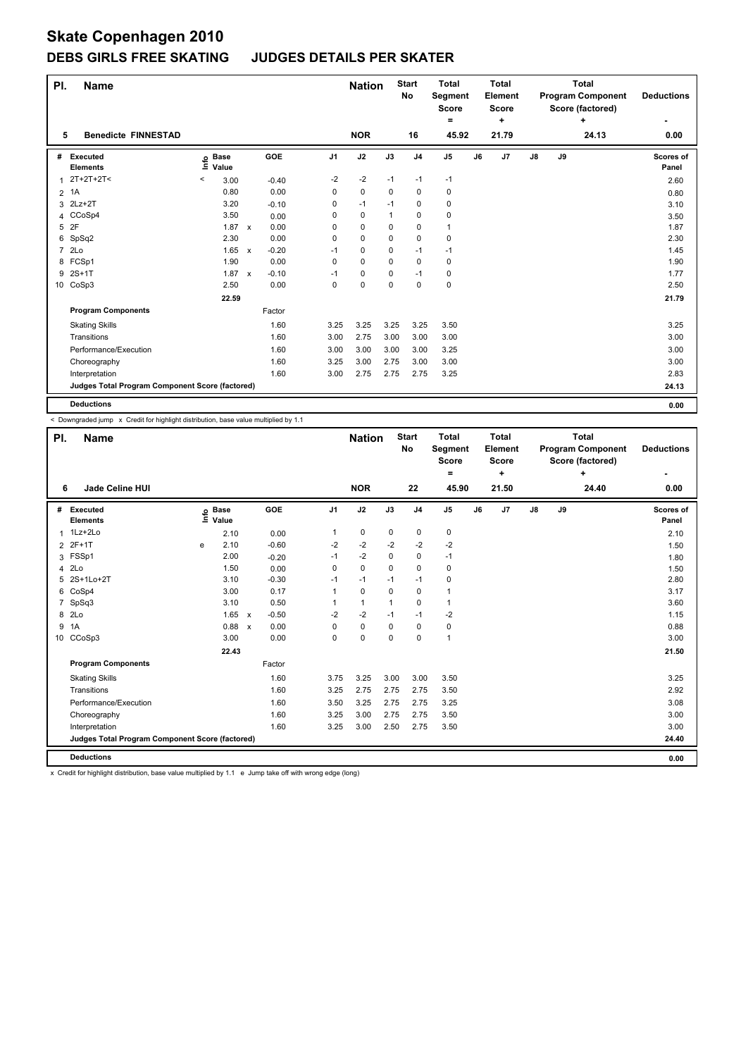## **DEBS GIRLS FREE SKATING JUDGES DETAILS PER SKATER**

| PI.            | <b>Name</b>                                     |                              |              |         |                | <b>Nation</b> |          | <b>Start</b><br>No | <b>Total</b><br>Segment<br><b>Score</b><br>$=$ |    | <b>Total</b><br>Element<br><b>Score</b><br>٠ |               |    | <b>Total</b><br><b>Program Component</b><br>Score (factored)<br>٠ | <b>Deductions</b>  |
|----------------|-------------------------------------------------|------------------------------|--------------|---------|----------------|---------------|----------|--------------------|------------------------------------------------|----|----------------------------------------------|---------------|----|-------------------------------------------------------------------|--------------------|
| 5              | <b>Benedicte FINNESTAD</b>                      |                              |              |         |                | <b>NOR</b>    |          | 16                 | 45.92                                          |    | 21.79                                        |               |    | 24.13                                                             | 0.00               |
| #              | Executed<br><b>Elements</b>                     | <b>Base</b><br>١ifo<br>Value |              | GOE     | J <sub>1</sub> | J2            | J3       | J <sub>4</sub>     | $\mathsf{J}5$                                  | J6 | J7                                           | $\mathsf{J}8$ | J9 |                                                                   | Scores of<br>Panel |
|                | $2T+2T+2T<$                                     | 3.00<br>$\,<\,$              |              | $-0.40$ | $-2$           | $-2$          | $-1$     | $-1$               | $-1$                                           |    |                                              |               |    |                                                                   | 2.60               |
| 2              | 1A                                              | 0.80                         |              | 0.00    | 0              | $\pmb{0}$     | 0        | 0                  | $\pmb{0}$                                      |    |                                              |               |    |                                                                   | 0.80               |
|                | 3 2Lz+2T                                        | 3.20                         |              | $-0.10$ | 0              | $-1$          | $-1$     | 0                  | 0                                              |    |                                              |               |    |                                                                   | 3.10               |
|                | 4 CCoSp4                                        | 3.50                         |              | 0.00    | 0              | 0             | 1        | 0                  | 0                                              |    |                                              |               |    |                                                                   | 3.50               |
| 5              | 2F                                              | 1.87                         | $\mathsf{x}$ | 0.00    | 0              | 0             | 0        | 0                  | $\mathbf{1}$                                   |    |                                              |               |    |                                                                   | 1.87               |
|                | 6 SpSq2                                         | 2.30                         |              | 0.00    | 0              | 0             | $\Omega$ | $\mathbf 0$        | $\mathbf 0$                                    |    |                                              |               |    |                                                                   | 2.30               |
| $\overline{7}$ | 2Lo                                             | 1.65                         | $\mathsf{x}$ | $-0.20$ | $-1$           | 0             | 0        | $-1$               | $-1$                                           |    |                                              |               |    |                                                                   | 1.45               |
|                | 8 FCSp1                                         | 1.90                         |              | 0.00    | 0              | 0             | 0        | 0                  | 0                                              |    |                                              |               |    |                                                                   | 1.90               |
| 9              | 2S+1T                                           | 1.87 x                       |              | $-0.10$ | $-1$           | 0             | 0        | $-1$               | 0                                              |    |                                              |               |    |                                                                   | 1.77               |
|                | 10 CoSp3                                        | 2.50                         |              | 0.00    | 0              | 0             | $\Omega$ | 0                  | $\mathbf 0$                                    |    |                                              |               |    |                                                                   | 2.50               |
|                |                                                 | 22.59                        |              |         |                |               |          |                    |                                                |    |                                              |               |    |                                                                   | 21.79              |
|                | <b>Program Components</b>                       |                              |              | Factor  |                |               |          |                    |                                                |    |                                              |               |    |                                                                   |                    |
|                | <b>Skating Skills</b>                           |                              |              | 1.60    | 3.25           | 3.25          | 3.25     | 3.25               | 3.50                                           |    |                                              |               |    |                                                                   | 3.25               |
|                | Transitions                                     |                              |              | 1.60    | 3.00           | 2.75          | 3.00     | 3.00               | 3.00                                           |    |                                              |               |    |                                                                   | 3.00               |
|                | Performance/Execution                           |                              |              | 1.60    | 3.00           | 3.00          | 3.00     | 3.00               | 3.25                                           |    |                                              |               |    |                                                                   | 3.00               |
|                | Choreography                                    |                              |              | 1.60    | 3.25           | 3.00          | 2.75     | 3.00               | 3.00                                           |    |                                              |               |    |                                                                   | 3.00               |
|                | Interpretation                                  |                              |              | 1.60    | 3.00           | 2.75          | 2.75     | 2.75               | 3.25                                           |    |                                              |               |    |                                                                   | 2.83               |
|                | Judges Total Program Component Score (factored) |                              |              |         |                |               |          |                    |                                                |    |                                              |               |    |                                                                   | 24.13              |
|                | <b>Deductions</b>                               |                              |              |         |                |               |          |                    |                                                |    |                                              |               |    |                                                                   | 0.00               |

< Downgraded jump x Credit for highlight distribution, base value multiplied by 1.1

| PI.             | <b>Name</b>                                     |      |                      |                           |         |                | <b>Nation</b> |             | <b>Start</b><br>No | <b>Total</b><br>Segment<br><b>Score</b><br>۰ |    | <b>Total</b><br>Element<br><b>Score</b><br>٠ |               |    | <b>Total</b><br><b>Program Component</b><br>Score (factored)<br>÷ | <b>Deductions</b>  |
|-----------------|-------------------------------------------------|------|----------------------|---------------------------|---------|----------------|---------------|-------------|--------------------|----------------------------------------------|----|----------------------------------------------|---------------|----|-------------------------------------------------------------------|--------------------|
| 6               | <b>Jade Celine HUI</b>                          |      |                      |                           |         |                | <b>NOR</b>    |             | 22                 | 45.90                                        |    | 21.50                                        |               |    | 24.40                                                             | 0.00               |
| #               | Executed<br><b>Elements</b>                     | ١nfo | <b>Base</b><br>Value |                           | GOE     | J <sub>1</sub> | J2            | J3          | J <sub>4</sub>     | J <sub>5</sub>                               | J6 | J7                                           | $\mathsf{J}8$ | J9 |                                                                   | Scores of<br>Panel |
| 1               | 1Lz+2Lo                                         |      | 2.10                 |                           | 0.00    | 1              | $\mathbf 0$   | $\mathbf 0$ | $\mathbf 0$        | $\pmb{0}$                                    |    |                                              |               |    |                                                                   | 2.10               |
| $\overline{2}$  | 2F+1T                                           | e    | 2.10                 |                           | $-0.60$ | $-2$           | $-2$          | $-2$        | $-2$               | -2                                           |    |                                              |               |    |                                                                   | 1.50               |
| 3               | FSSp1                                           |      | 2.00                 |                           | $-0.20$ | $-1$           | $-2$          | 0           | $\mathbf 0$        | $-1$                                         |    |                                              |               |    |                                                                   | 1.80               |
| 4               | 2Lo                                             |      | 1.50                 |                           | 0.00    | $\Omega$       | $\Omega$      | $\Omega$    | $\mathbf 0$        | $\pmb{0}$                                    |    |                                              |               |    |                                                                   | 1.50               |
| 5               | 2S+1Lo+2T                                       |      | 3.10                 |                           | $-0.30$ | $-1$           | $-1$          | $-1$        | $-1$               | $\mathbf 0$                                  |    |                                              |               |    |                                                                   | 2.80               |
| 6               | CoSp4                                           |      | 3.00                 |                           | 0.17    | 1              | $\mathbf 0$   | 0           | $\mathbf 0$        | 1                                            |    |                                              |               |    |                                                                   | 3.17               |
| $\overline{7}$  | SpSq3                                           |      | 3.10                 |                           | 0.50    | 1              | $\mathbf{1}$  | 1           | 0                  | $\mathbf{1}$                                 |    |                                              |               |    |                                                                   | 3.60               |
| 8               | 2 <sub>LO</sub>                                 |      | 1.65                 | $\boldsymbol{\mathsf{x}}$ | $-0.50$ | $-2$           | $-2$          | $-1$        | $-1$               | $-2$                                         |    |                                              |               |    |                                                                   | 1.15               |
| 9               | 1A                                              |      | 0.88                 | $\boldsymbol{\mathsf{x}}$ | 0.00    | 0              | $\mathbf 0$   | $\Omega$    | 0                  | $\pmb{0}$                                    |    |                                              |               |    |                                                                   | 0.88               |
| 10 <sup>1</sup> | CCoSp3                                          |      | 3.00                 |                           | 0.00    | 0              | 0             | 0           | 0                  | $\overline{1}$                               |    |                                              |               |    |                                                                   | 3.00               |
|                 |                                                 |      | 22.43                |                           |         |                |               |             |                    |                                              |    |                                              |               |    |                                                                   | 21.50              |
|                 | <b>Program Components</b>                       |      |                      |                           | Factor  |                |               |             |                    |                                              |    |                                              |               |    |                                                                   |                    |
|                 | <b>Skating Skills</b>                           |      |                      |                           | 1.60    | 3.75           | 3.25          | 3.00        | 3.00               | 3.50                                         |    |                                              |               |    |                                                                   | 3.25               |
|                 | Transitions                                     |      |                      |                           | 1.60    | 3.25           | 2.75          | 2.75        | 2.75               | 3.50                                         |    |                                              |               |    |                                                                   | 2.92               |
|                 | Performance/Execution                           |      |                      |                           | 1.60    | 3.50           | 3.25          | 2.75        | 2.75               | 3.25                                         |    |                                              |               |    |                                                                   | 3.08               |
|                 | Choreography                                    |      |                      |                           | 1.60    | 3.25           | 3.00          | 2.75        | 2.75               | 3.50                                         |    |                                              |               |    |                                                                   | 3.00               |
|                 | Interpretation                                  |      |                      |                           | 1.60    | 3.25           | 3.00          | 2.50        | 2.75               | 3.50                                         |    |                                              |               |    |                                                                   | 3.00               |
|                 | Judges Total Program Component Score (factored) |      |                      |                           |         |                |               |             |                    |                                              |    |                                              |               |    |                                                                   | 24.40              |
|                 | <b>Deductions</b>                               |      |                      |                           |         |                |               |             |                    |                                              |    |                                              |               |    |                                                                   | 0.00               |

x Credit for highlight distribution, base value multiplied by 1.1 e Jump take off with wrong edge (long)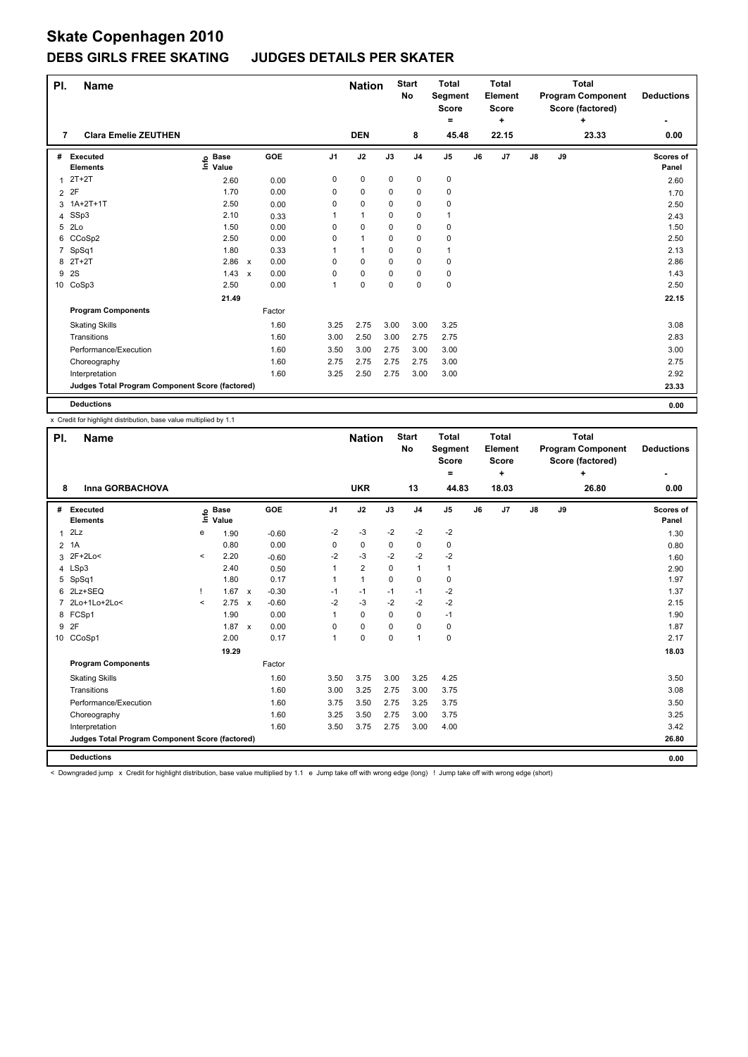#### **DEBS GIRLS FREE SKATING JUDGES DETAILS PER SKATER**

| PI.            | <b>Name</b>                                     |                              |                           |        |                | <b>Nation</b> |      | <b>Start</b><br>No | <b>Total</b><br>Segment<br><b>Score</b><br>$=$ |    | <b>Total</b><br>Element<br><b>Score</b><br>٠ |               |    | <b>Total</b><br><b>Program Component</b><br>Score (factored)<br>٠ | <b>Deductions</b>  |
|----------------|-------------------------------------------------|------------------------------|---------------------------|--------|----------------|---------------|------|--------------------|------------------------------------------------|----|----------------------------------------------|---------------|----|-------------------------------------------------------------------|--------------------|
| 7              | <b>Clara Emelie ZEUTHEN</b>                     |                              |                           |        |                | <b>DEN</b>    |      | 8                  | 45.48                                          |    | 22.15                                        |               |    | 23.33                                                             | 0.00               |
| #              | Executed<br><b>Elements</b>                     | <b>Base</b><br>lnfo<br>Value |                           | GOE    | J <sub>1</sub> | J2            | J3   | J <sub>4</sub>     | J <sub>5</sub>                                 | J6 | J7                                           | $\mathsf{J}8$ | J9 |                                                                   | Scores of<br>Panel |
|                | $2T+2T$                                         | 2.60                         |                           | 0.00   | 0              | $\pmb{0}$     | 0    | $\mathbf 0$        | $\mathbf 0$                                    |    |                                              |               |    |                                                                   | 2.60               |
| $\overline{2}$ | 2F                                              | 1.70                         |                           | 0.00   | 0              | 0             | 0    | 0                  | $\pmb{0}$                                      |    |                                              |               |    |                                                                   | 1.70               |
|                | 3 1A+2T+1T                                      | 2.50                         |                           | 0.00   | 0              | 0             | 0    | 0                  | 0                                              |    |                                              |               |    |                                                                   | 2.50               |
|                | 4 SSp3                                          | 2.10                         |                           | 0.33   |                | 1             | 0    | 0                  | $\mathbf 1$                                    |    |                                              |               |    |                                                                   | 2.43               |
|                | 5 2Lo                                           | 1.50                         |                           | 0.00   | 0              | 0             | 0    | 0                  | 0                                              |    |                                              |               |    |                                                                   | 1.50               |
|                | 6 CCoSp2                                        | 2.50                         |                           | 0.00   | 0              | $\mathbf{1}$  | 0    | 0                  | $\pmb{0}$                                      |    |                                              |               |    |                                                                   | 2.50               |
|                | SpSq1                                           | 1.80                         |                           | 0.33   |                | 1             | 0    | 0                  | 1                                              |    |                                              |               |    |                                                                   | 2.13               |
| 8              | $2T+2T$                                         | 2.86                         | $\boldsymbol{\mathsf{x}}$ | 0.00   | 0              | 0             | 0    | 0                  | 0                                              |    |                                              |               |    |                                                                   | 2.86               |
| 9              | <b>2S</b>                                       | 1.43                         | $\boldsymbol{\mathsf{x}}$ | 0.00   | 0              | 0             | 0    | 0                  | 0                                              |    |                                              |               |    |                                                                   | 1.43               |
|                | 10 CoSp3                                        | 2.50                         |                           | 0.00   | 1              | 0             | 0    | 0                  | $\mathbf 0$                                    |    |                                              |               |    |                                                                   | 2.50               |
|                |                                                 | 21.49                        |                           |        |                |               |      |                    |                                                |    |                                              |               |    |                                                                   | 22.15              |
|                | <b>Program Components</b>                       |                              |                           | Factor |                |               |      |                    |                                                |    |                                              |               |    |                                                                   |                    |
|                | <b>Skating Skills</b>                           |                              |                           | 1.60   | 3.25           | 2.75          | 3.00 | 3.00               | 3.25                                           |    |                                              |               |    |                                                                   | 3.08               |
|                | Transitions                                     |                              |                           | 1.60   | 3.00           | 2.50          | 3.00 | 2.75               | 2.75                                           |    |                                              |               |    |                                                                   | 2.83               |
|                | Performance/Execution                           |                              |                           | 1.60   | 3.50           | 3.00          | 2.75 | 3.00               | 3.00                                           |    |                                              |               |    |                                                                   | 3.00               |
|                | Choreography                                    |                              |                           | 1.60   | 2.75           | 2.75          | 2.75 | 2.75               | 3.00                                           |    |                                              |               |    |                                                                   | 2.75               |
|                | Interpretation                                  |                              |                           | 1.60   | 3.25           | 2.50          | 2.75 | 3.00               | 3.00                                           |    |                                              |               |    |                                                                   | 2.92               |
|                | Judges Total Program Component Score (factored) |                              |                           |        |                |               |      |                    |                                                |    |                                              |               |    |                                                                   | 23.33              |
|                | <b>Deductions</b>                               |                              |                           |        |                |               |      |                    |                                                |    |                                              |               |    |                                                                   | 0.00               |

x Credit for highlight distribution, base value multiplied by 1.1

| PI.            | <b>Name</b>                                     |         |                            |                           |            |                | <b>Nation</b>  |          | <b>Start</b><br><b>No</b> | <b>Total</b><br>Segment<br><b>Score</b><br>$\equiv$ |    | <b>Total</b><br>Element<br><b>Score</b><br>÷ |               |    | <b>Total</b><br><b>Program Component</b><br>Score (factored)<br>÷ | <b>Deductions</b>  |
|----------------|-------------------------------------------------|---------|----------------------------|---------------------------|------------|----------------|----------------|----------|---------------------------|-----------------------------------------------------|----|----------------------------------------------|---------------|----|-------------------------------------------------------------------|--------------------|
| 8              | Inna GORBACHOVA                                 |         |                            |                           |            |                | <b>UKR</b>     |          | 13                        | 44.83                                               |    | 18.03                                        |               |    | 26.80                                                             | 0.00               |
| #              | Executed<br><b>Elements</b>                     |         | e Base<br>⊑ Value<br>Value |                           | <b>GOE</b> | J <sub>1</sub> | J2             | J3       | J <sub>4</sub>            | J <sub>5</sub>                                      | J6 | J7                                           | $\mathsf{J}8$ | J9 |                                                                   | Scores of<br>Panel |
| $\mathbf{1}$   | 2Lz                                             | e       | 1.90                       |                           | $-0.60$    | $-2$           | $-3$           | $-2$     | $-2$                      | $-2$                                                |    |                                              |               |    |                                                                   | 1.30               |
| $\overline{2}$ | 1A                                              |         | 0.80                       |                           | 0.00       | 0              | 0              | 0        | 0                         | 0                                                   |    |                                              |               |    |                                                                   | 0.80               |
| 3              | 2F+2Lo<                                         | $\prec$ | 2.20                       |                           | $-0.60$    | -2             | $-3$           | $-2$     | $-2$                      | $-2$                                                |    |                                              |               |    |                                                                   | 1.60               |
|                | 4 LSp3                                          |         | 2.40                       |                           | 0.50       | 1              | $\overline{2}$ | 0        | 1                         | 1                                                   |    |                                              |               |    |                                                                   | 2.90               |
| 5              | SpSq1                                           |         | 1.80                       |                           | 0.17       | 1              | $\mathbf{1}$   | $\Omega$ | $\Omega$                  | 0                                                   |    |                                              |               |    |                                                                   | 1.97               |
| 6              | 2Lz+SEQ                                         |         | 1.67                       | $\boldsymbol{\mathsf{x}}$ | $-0.30$    | $-1$           | $-1$           | $-1$     | $-1$                      | $-2$                                                |    |                                              |               |    |                                                                   | 1.37               |
|                | 2Lo+1Lo+2Lo<                                    | $\prec$ | 2.75                       | $\mathsf{x}$              | $-0.60$    | $-2$           | $-3$           | $-2$     | $-2$                      | $-2$                                                |    |                                              |               |    |                                                                   | 2.15               |
| 8              | FCSp1                                           |         | 1.90                       |                           | 0.00       | 1              | 0              | 0        | $\mathbf 0$               | $-1$                                                |    |                                              |               |    |                                                                   | 1.90               |
| 9              | 2F                                              |         | $1.87 \times$              |                           | 0.00       | 0              | 0              | 0        | $\mathbf 0$               | 0                                                   |    |                                              |               |    |                                                                   | 1.87               |
| 10             | CCoSp1                                          |         | 2.00                       |                           | 0.17       | 1              | 0              | 0        | $\overline{1}$            | 0                                                   |    |                                              |               |    |                                                                   | 2.17               |
|                |                                                 |         | 19.29                      |                           |            |                |                |          |                           |                                                     |    |                                              |               |    |                                                                   | 18.03              |
|                | <b>Program Components</b>                       |         |                            |                           | Factor     |                |                |          |                           |                                                     |    |                                              |               |    |                                                                   |                    |
|                | <b>Skating Skills</b>                           |         |                            |                           | 1.60       | 3.50           | 3.75           | 3.00     | 3.25                      | 4.25                                                |    |                                              |               |    |                                                                   | 3.50               |
|                | Transitions                                     |         |                            |                           | 1.60       | 3.00           | 3.25           | 2.75     | 3.00                      | 3.75                                                |    |                                              |               |    |                                                                   | 3.08               |
|                | Performance/Execution                           |         |                            |                           | 1.60       | 3.75           | 3.50           | 2.75     | 3.25                      | 3.75                                                |    |                                              |               |    |                                                                   | 3.50               |
|                | Choreography                                    |         |                            |                           | 1.60       | 3.25           | 3.50           | 2.75     | 3.00                      | 3.75                                                |    |                                              |               |    |                                                                   | 3.25               |
|                | Interpretation                                  |         |                            |                           | 1.60       | 3.50           | 3.75           | 2.75     | 3.00                      | 4.00                                                |    |                                              |               |    |                                                                   | 3.42               |
|                | Judges Total Program Component Score (factored) |         |                            |                           |            |                |                |          |                           |                                                     |    |                                              |               |    |                                                                   | 26.80              |
|                | <b>Deductions</b>                               |         |                            |                           |            |                |                |          |                           |                                                     |    |                                              |               |    |                                                                   | 0.00               |

< Downgraded jump x Credit for highlight distribution, base value multiplied by 1.1 e Jump take off with wrong edge (long) ! Jump take off with wrong edge (short)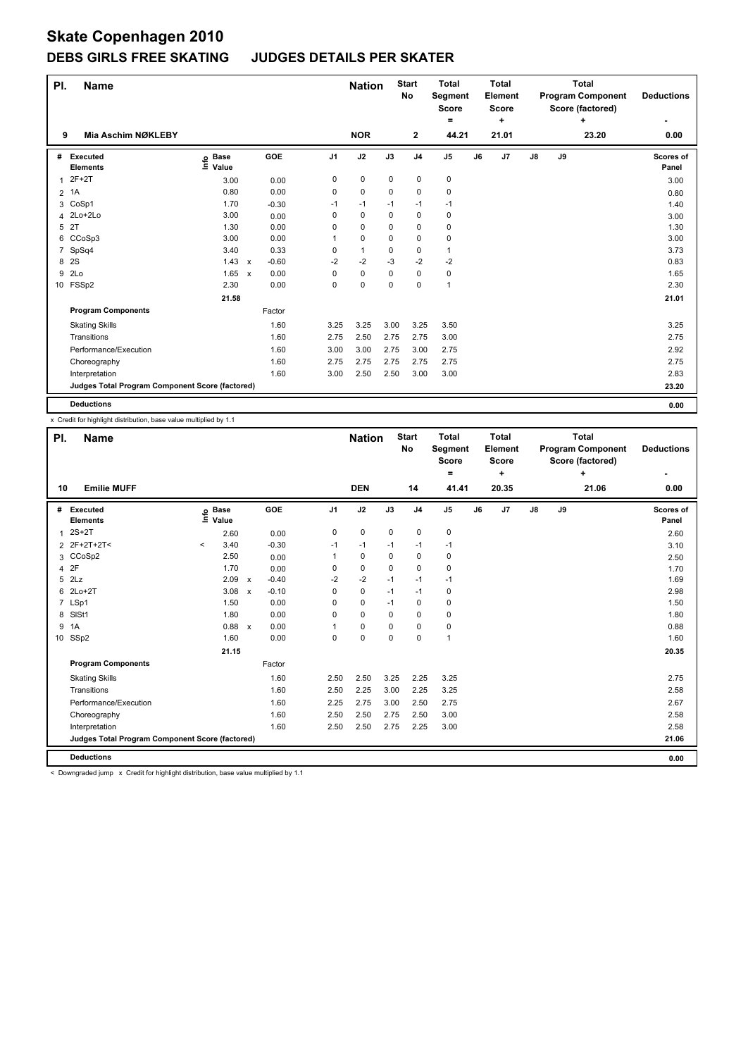## **DEBS GIRLS FREE SKATING JUDGES DETAILS PER SKATER**

| PI. | <b>Name</b>                                     |                              |                           |         |                | <b>Nation</b> |          | <b>Start</b><br>No | <b>Total</b><br>Segment<br><b>Score</b><br>$=$ |    | <b>Total</b><br>Element<br><b>Score</b><br>٠ |               |    | <b>Total</b><br><b>Program Component</b><br>Score (factored)<br>٠ | <b>Deductions</b>  |
|-----|-------------------------------------------------|------------------------------|---------------------------|---------|----------------|---------------|----------|--------------------|------------------------------------------------|----|----------------------------------------------|---------------|----|-------------------------------------------------------------------|--------------------|
| 9   | Mia Aschim NØKLEBY                              |                              |                           |         |                | <b>NOR</b>    |          | $\mathbf{2}$       | 44.21                                          |    | 21.01                                        |               |    | 23.20                                                             | 0.00               |
| #   | Executed<br><b>Elements</b>                     | <b>Base</b><br>lnfo<br>Value |                           | GOE     | J <sub>1</sub> | J2            | J3       | J <sub>4</sub>     | J <sub>5</sub>                                 | J6 | J7                                           | $\mathsf{J}8$ | J9 |                                                                   | Scores of<br>Panel |
|     | $2F+2T$                                         | 3.00                         |                           | 0.00    | 0              | $\pmb{0}$     | 0        | $\mathbf 0$        | $\mathbf 0$                                    |    |                                              |               |    |                                                                   | 3.00               |
| 2   | 1A                                              | 0.80                         |                           | 0.00    | 0              | 0             | 0        | 0                  | $\pmb{0}$                                      |    |                                              |               |    |                                                                   | 0.80               |
|     | 3 CoSp1                                         | 1.70                         |                           | $-0.30$ | $-1$           | $-1$          | $-1$     | $-1$               | -1                                             |    |                                              |               |    |                                                                   | 1.40               |
|     | 4 2Lo+2Lo                                       | 3.00                         |                           | 0.00    | 0              | $\pmb{0}$     | 0        | 0                  | 0                                              |    |                                              |               |    |                                                                   | 3.00               |
| 5   | 2T                                              | 1.30                         |                           | 0.00    | 0              | 0             | 0        | 0                  | 0                                              |    |                                              |               |    |                                                                   | 1.30               |
|     | 6 CCoSp3                                        | 3.00                         |                           | 0.00    | 1              | 0             | $\Omega$ | $\mathbf 0$        | $\pmb{0}$                                      |    |                                              |               |    |                                                                   | 3.00               |
| 7   | SpSq4                                           | 3.40                         |                           | 0.33    | 0              | $\mathbf{1}$  | 0        | 0                  | $\mathbf{1}$                                   |    |                                              |               |    |                                                                   | 3.73               |
| 8   | 2S                                              | 1.43                         | $\boldsymbol{\mathsf{x}}$ | $-0.60$ | $-2$           | $-2$          | -3       | $-2$               | $-2$                                           |    |                                              |               |    |                                                                   | 0.83               |
| 9   | 2Lo                                             | 1.65                         | $\boldsymbol{\mathsf{x}}$ | 0.00    | 0              | 0             | 0        | 0                  | 0                                              |    |                                              |               |    |                                                                   | 1.65               |
|     | 10 FSSp2                                        | 2.30                         |                           | 0.00    | 0              | 0             | 0        | 0                  | $\overline{1}$                                 |    |                                              |               |    |                                                                   | 2.30               |
|     |                                                 | 21.58                        |                           |         |                |               |          |                    |                                                |    |                                              |               |    |                                                                   | 21.01              |
|     | <b>Program Components</b>                       |                              |                           | Factor  |                |               |          |                    |                                                |    |                                              |               |    |                                                                   |                    |
|     | <b>Skating Skills</b>                           |                              |                           | 1.60    | 3.25           | 3.25          | 3.00     | 3.25               | 3.50                                           |    |                                              |               |    |                                                                   | 3.25               |
|     | Transitions                                     |                              |                           | 1.60    | 2.75           | 2.50          | 2.75     | 2.75               | 3.00                                           |    |                                              |               |    |                                                                   | 2.75               |
|     | Performance/Execution                           |                              |                           | 1.60    | 3.00           | 3.00          | 2.75     | 3.00               | 2.75                                           |    |                                              |               |    |                                                                   | 2.92               |
|     | Choreography                                    |                              |                           | 1.60    | 2.75           | 2.75          | 2.75     | 2.75               | 2.75                                           |    |                                              |               |    |                                                                   | 2.75               |
|     | Interpretation                                  |                              |                           | 1.60    | 3.00           | 2.50          | 2.50     | 3.00               | 3.00                                           |    |                                              |               |    |                                                                   | 2.83               |
|     | Judges Total Program Component Score (factored) |                              |                           |         |                |               |          |                    |                                                |    |                                              |               |    |                                                                   | 23.20              |
|     | <b>Deductions</b>                               |                              |                           |         |                |               |          |                    |                                                |    |                                              |               |    |                                                                   | 0.00               |

x Credit for highlight distribution, base value multiplied by 1.1

| PI.            | <b>Name</b>                                     |         |                            |                           |            |                | <b>Nation</b> |          | <b>Start</b><br><b>No</b> | <b>Total</b><br>Segment<br><b>Score</b> |    | <b>Total</b><br><b>Element</b><br><b>Score</b> |               |    | <b>Total</b><br><b>Program Component</b><br>Score (factored) | <b>Deductions</b>  |
|----------------|-------------------------------------------------|---------|----------------------------|---------------------------|------------|----------------|---------------|----------|---------------------------|-----------------------------------------|----|------------------------------------------------|---------------|----|--------------------------------------------------------------|--------------------|
| 10             | <b>Emilie MUFF</b>                              |         |                            |                           |            |                | <b>DEN</b>    |          | 14                        | ۰<br>41.41                              |    | ÷<br>20.35                                     |               |    | ÷<br>21.06                                                   | ٠<br>0.00          |
|                |                                                 |         |                            |                           |            |                |               |          |                           |                                         |    |                                                |               |    |                                                              |                    |
| #              | Executed<br><b>Elements</b>                     |         | e Base<br>E Value<br>Value |                           | <b>GOE</b> | J <sub>1</sub> | J2            | J3       | J <sub>4</sub>            | $\mathsf{J}5$                           | J6 | J7                                             | $\mathsf{J}8$ | J9 |                                                              | Scores of<br>Panel |
| 1              | $2S+2T$                                         |         | 2.60                       |                           | 0.00       | 0              | 0             | 0        | $\mathbf 0$               | 0                                       |    |                                                |               |    |                                                              | 2.60               |
| $\overline{2}$ | 2F+2T+2T<                                       | $\,<\,$ | 3.40                       |                           | $-0.30$    | $-1$           | $-1$          | $-1$     | $-1$                      | $-1$                                    |    |                                                |               |    |                                                              | 3.10               |
|                | 3 CCoSp2                                        |         | 2.50                       |                           | 0.00       | 1              | 0             | $\Omega$ | $\mathbf 0$               | 0                                       |    |                                                |               |    |                                                              | 2.50               |
| 4              | 2F                                              |         | 1.70                       |                           | 0.00       | 0              | $\mathbf 0$   | 0        | $\mathbf 0$               | 0                                       |    |                                                |               |    |                                                              | 1.70               |
| 5              | 2Lz                                             |         | 2.09                       | $\boldsymbol{\mathsf{x}}$ | $-0.40$    | $-2$           | $-2$          | $-1$     | $-1$                      | $-1$                                    |    |                                                |               |    |                                                              | 1.69               |
| 6              | $2Lo+2T$                                        |         | 3.08                       | $\boldsymbol{\mathsf{x}}$ | $-0.10$    | 0              | $\mathbf 0$   | $-1$     | $-1$                      | 0                                       |    |                                                |               |    |                                                              | 2.98               |
|                | 7 LSp1                                          |         | 1.50                       |                           | 0.00       | $\Omega$       | $\mathbf 0$   | $-1$     | 0                         | 0                                       |    |                                                |               |    |                                                              | 1.50               |
| 8              | SISt1                                           |         | 1.80                       |                           | 0.00       | $\Omega$       | $\mathbf 0$   | $\Omega$ | $\mathbf 0$               | 0                                       |    |                                                |               |    |                                                              | 1.80               |
| 9              | 1A                                              |         | 0.88                       | $\boldsymbol{\mathsf{x}}$ | 0.00       |                | 0             | 0        | 0                         | 0                                       |    |                                                |               |    |                                                              | 0.88               |
|                | 10 SSp2                                         |         | 1.60                       |                           | 0.00       | 0              | $\mathbf 0$   | 0        | $\mathbf 0$               | 1                                       |    |                                                |               |    |                                                              | 1.60               |
|                |                                                 |         | 21.15                      |                           |            |                |               |          |                           |                                         |    |                                                |               |    |                                                              | 20.35              |
|                | <b>Program Components</b>                       |         |                            |                           | Factor     |                |               |          |                           |                                         |    |                                                |               |    |                                                              |                    |
|                | <b>Skating Skills</b>                           |         |                            |                           | 1.60       | 2.50           | 2.50          | 3.25     | 2.25                      | 3.25                                    |    |                                                |               |    |                                                              | 2.75               |
|                | Transitions                                     |         |                            |                           | 1.60       | 2.50           | 2.25          | 3.00     | 2.25                      | 3.25                                    |    |                                                |               |    |                                                              | 2.58               |
|                | Performance/Execution                           |         |                            |                           | 1.60       | 2.25           | 2.75          | 3.00     | 2.50                      | 2.75                                    |    |                                                |               |    |                                                              | 2.67               |
|                | Choreography                                    |         |                            |                           | 1.60       | 2.50           | 2.50          | 2.75     | 2.50                      | 3.00                                    |    |                                                |               |    |                                                              | 2.58               |
|                | Interpretation                                  |         |                            |                           | 1.60       | 2.50           | 2.50          | 2.75     | 2.25                      | 3.00                                    |    |                                                |               |    |                                                              | 2.58               |
|                | Judges Total Program Component Score (factored) |         |                            |                           |            |                |               |          |                           |                                         |    |                                                |               |    |                                                              | 21.06              |
|                | <b>Deductions</b>                               |         |                            |                           |            |                |               |          |                           |                                         |    |                                                |               |    |                                                              | 0.00               |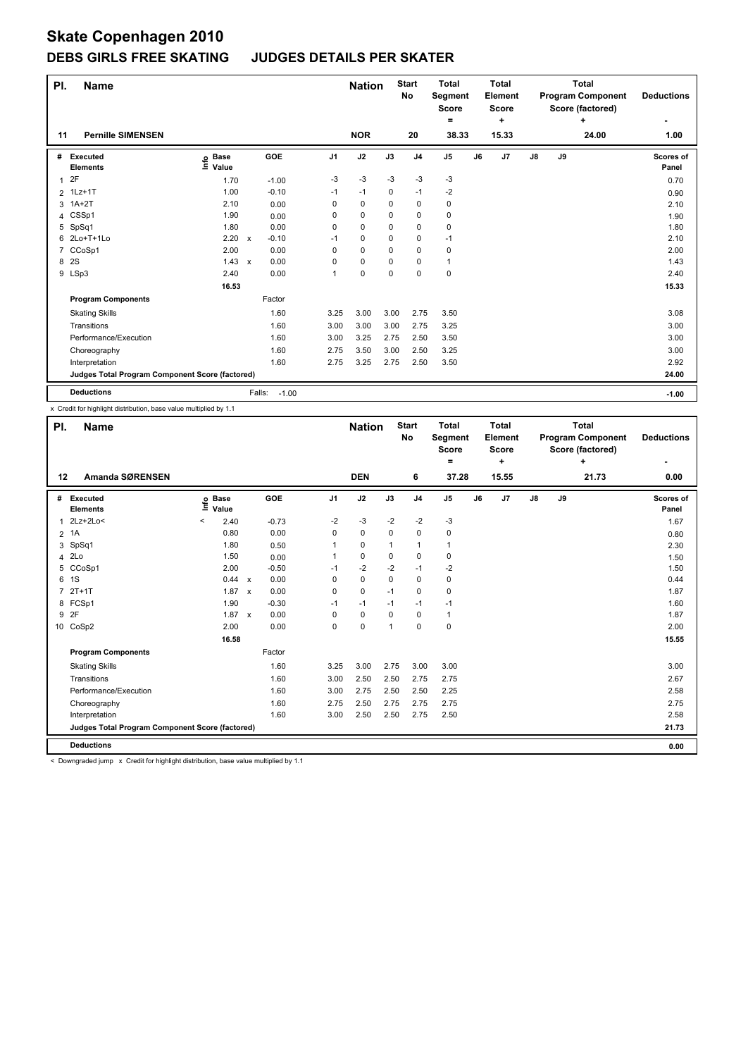## **DEBS GIRLS FREE SKATING JUDGES DETAILS PER SKATER**

| PI.            | <b>Name</b>                                     |                              |              |                   |                | <b>Nation</b> |      | <b>Start</b><br><b>No</b> | <b>Total</b><br>Segment<br><b>Score</b><br>= |    | <b>Total</b><br>Element<br><b>Score</b><br>٠ |               |    | <b>Total</b><br><b>Program Component</b><br>Score (factored)<br>÷ | <b>Deductions</b>  |
|----------------|-------------------------------------------------|------------------------------|--------------|-------------------|----------------|---------------|------|---------------------------|----------------------------------------------|----|----------------------------------------------|---------------|----|-------------------------------------------------------------------|--------------------|
| 11             | <b>Pernille SIMENSEN</b>                        |                              |              |                   |                | <b>NOR</b>    |      | 20                        | 38.33                                        |    | 15.33                                        |               |    | 24.00                                                             | 1.00               |
| #              | <b>Executed</b><br><b>Elements</b>              | <b>Base</b><br>lnfo<br>Value |              | GOE               | J <sub>1</sub> | J2            | J3   | J <sub>4</sub>            | J5                                           | J6 | J7                                           | $\mathsf{J}8$ | J9 |                                                                   | Scores of<br>Panel |
| 1              | 2F                                              | 1.70                         |              | $-1.00$           | -3             | $-3$          | -3   | $-3$                      | $-3$                                         |    |                                              |               |    |                                                                   | 0.70               |
| $\overline{2}$ | $1$ Lz $+1$ T                                   | 1.00                         |              | $-0.10$           | $-1$           | $-1$          | 0    | $-1$                      | $-2$                                         |    |                                              |               |    |                                                                   | 0.90               |
| 3              | $1A+2T$                                         | 2.10                         |              | 0.00              | 0              | 0             | 0    | $\pmb{0}$                 | 0                                            |    |                                              |               |    |                                                                   | 2.10               |
| 4              | CSSp1                                           | 1.90                         |              | 0.00              | 0              | $\mathbf 0$   | 0    | 0                         | 0                                            |    |                                              |               |    |                                                                   | 1.90               |
| 5              | SpSq1                                           | 1.80                         |              | 0.00              | 0              | 0             | 0    | 0                         | $\pmb{0}$                                    |    |                                              |               |    |                                                                   | 1.80               |
| 6              | 2Lo+T+1Lo                                       | 2.20                         | $\mathsf{x}$ | $-0.10$           | $-1$           | $\mathbf 0$   | 0    | $\pmb{0}$                 | $-1$                                         |    |                                              |               |    |                                                                   | 2.10               |
| 7              | CCoSp1                                          | 2.00                         |              | 0.00              | 0              | $\mathbf 0$   | 0    | $\pmb{0}$                 | $\pmb{0}$                                    |    |                                              |               |    |                                                                   | 2.00               |
| 8              | 2S                                              | 1.43                         | $\mathsf{x}$ | 0.00              | 0              | 0             | 0    | 0                         | $\mathbf{1}$                                 |    |                                              |               |    |                                                                   | 1.43               |
|                | 9 LSp3                                          | 2.40                         |              | 0.00              | 1              | $\mathbf 0$   | 0    | $\mathbf 0$               | $\pmb{0}$                                    |    |                                              |               |    |                                                                   | 2.40               |
|                |                                                 | 16.53                        |              |                   |                |               |      |                           |                                              |    |                                              |               |    |                                                                   | 15.33              |
|                | <b>Program Components</b>                       |                              |              | Factor            |                |               |      |                           |                                              |    |                                              |               |    |                                                                   |                    |
|                | <b>Skating Skills</b>                           |                              |              | 1.60              | 3.25           | 3.00          | 3.00 | 2.75                      | 3.50                                         |    |                                              |               |    |                                                                   | 3.08               |
|                | Transitions                                     |                              |              | 1.60              | 3.00           | 3.00          | 3.00 | 2.75                      | 3.25                                         |    |                                              |               |    |                                                                   | 3.00               |
|                | Performance/Execution                           |                              |              | 1.60              | 3.00           | 3.25          | 2.75 | 2.50                      | 3.50                                         |    |                                              |               |    |                                                                   | 3.00               |
|                | Choreography                                    |                              |              | 1.60              | 2.75           | 3.50          | 3.00 | 2.50                      | 3.25                                         |    |                                              |               |    |                                                                   | 3.00               |
|                | Interpretation                                  |                              |              | 1.60              | 2.75           | 3.25          | 2.75 | 2.50                      | 3.50                                         |    |                                              |               |    |                                                                   | 2.92               |
|                | Judges Total Program Component Score (factored) |                              |              |                   |                |               |      |                           |                                              |    |                                              |               |    |                                                                   | 24.00              |
|                | <b>Deductions</b>                               |                              |              | Falls:<br>$-1.00$ |                |               |      |                           |                                              |    |                                              |               |    |                                                                   | $-1.00$            |

x Credit for highlight distribution, base value multiplied by 1.1

| PI.            | <b>Name</b>                                     |                           |                           |            |             | <b>Nation</b> |              | <b>Start</b><br><b>No</b> | <b>Total</b><br>Segment<br><b>Score</b><br>۰ |    | <b>Total</b><br>Element<br><b>Score</b><br>÷ |               |    | <b>Total</b><br><b>Program Component</b><br>Score (factored)<br>÷ | <b>Deductions</b>         |
|----------------|-------------------------------------------------|---------------------------|---------------------------|------------|-------------|---------------|--------------|---------------------------|----------------------------------------------|----|----------------------------------------------|---------------|----|-------------------------------------------------------------------|---------------------------|
| $12 \,$        | Amanda SØRENSEN                                 |                           |                           |            |             | <b>DEN</b>    |              | 6                         | 37.28                                        |    | 15.55                                        |               |    | 21.73                                                             | 0.00                      |
| #              | <b>Executed</b><br><b>Elements</b>              | <b>Base</b><br>e<br>Value |                           | <b>GOE</b> | J1          | J2            | J3           | J <sub>4</sub>            | J5                                           | J6 | J7                                           | $\mathsf{J}8$ | J9 |                                                                   | <b>Scores of</b><br>Panel |
| 1              | 2Lz+2Lo<                                        | $\,<\,$<br>2.40           |                           | $-0.73$    | $-2$        | $-3$          | $-2$         | $-2$                      | $-3$                                         |    |                                              |               |    |                                                                   | 1.67                      |
|                | 2 1A                                            | 0.80                      |                           | 0.00       | 0           | 0             | 0            | 0                         | 0                                            |    |                                              |               |    |                                                                   | 0.80                      |
| 3              | SpSq1                                           | 1.80                      |                           | 0.50       | 1           | $\mathbf 0$   | $\mathbf{1}$ | $\mathbf{1}$              | 1                                            |    |                                              |               |    |                                                                   | 2.30                      |
|                | 4 2Lo                                           | 1.50                      |                           | 0.00       | 1           | 0             | 0            | 0                         | 0                                            |    |                                              |               |    |                                                                   | 1.50                      |
|                | 5 CCoSp1                                        | 2.00                      |                           | $-0.50$    | $-1$        | $-2$          | $-2$         | $-1$                      | $-2$                                         |    |                                              |               |    |                                                                   | 1.50                      |
| 6              | 1S                                              | 0.44                      | $\boldsymbol{\mathsf{x}}$ | 0.00       | $\mathbf 0$ | $\mathbf 0$   | $\mathbf 0$  | $\mathbf 0$               | 0                                            |    |                                              |               |    |                                                                   | 0.44                      |
| $\overline{7}$ | $2T+1T$                                         | $1.87 \times$             |                           | 0.00       | 0           | $\mathbf 0$   | $-1$         | $\mathbf 0$               | 0                                            |    |                                              |               |    |                                                                   | 1.87                      |
| 8              | FCSp1                                           | 1.90                      |                           | $-0.30$    | $-1$        | $-1$          | $-1$         | $-1$                      | $-1$                                         |    |                                              |               |    |                                                                   | 1.60                      |
| 9              | 2F                                              | $1.87 \times$             |                           | 0.00       | $\Omega$    | 0             | 0            | 0                         | 1                                            |    |                                              |               |    |                                                                   | 1.87                      |
| 10             | CoSp2                                           | 2.00                      |                           | 0.00       | 0           | 0             | $\mathbf{1}$ | $\mathbf 0$               | 0                                            |    |                                              |               |    |                                                                   | 2.00                      |
|                |                                                 | 16.58                     |                           |            |             |               |              |                           |                                              |    |                                              |               |    |                                                                   | 15.55                     |
|                | <b>Program Components</b>                       |                           |                           | Factor     |             |               |              |                           |                                              |    |                                              |               |    |                                                                   |                           |
|                | <b>Skating Skills</b>                           |                           |                           | 1.60       | 3.25        | 3.00          | 2.75         | 3.00                      | 3.00                                         |    |                                              |               |    |                                                                   | 3.00                      |
|                | Transitions                                     |                           |                           | 1.60       | 3.00        | 2.50          | 2.50         | 2.75                      | 2.75                                         |    |                                              |               |    |                                                                   | 2.67                      |
|                | Performance/Execution                           |                           |                           | 1.60       | 3.00        | 2.75          | 2.50         | 2.50                      | 2.25                                         |    |                                              |               |    |                                                                   | 2.58                      |
|                | Choreography                                    |                           |                           | 1.60       | 2.75        | 2.50          | 2.75         | 2.75                      | 2.75                                         |    |                                              |               |    |                                                                   | 2.75                      |
|                | Interpretation                                  |                           |                           | 1.60       | 3.00        | 2.50          | 2.50         | 2.75                      | 2.50                                         |    |                                              |               |    |                                                                   | 2.58                      |
|                | Judges Total Program Component Score (factored) |                           |                           |            |             |               |              |                           |                                              |    |                                              |               |    |                                                                   | 21.73                     |
|                | <b>Deductions</b>                               |                           |                           |            |             |               |              |                           |                                              |    |                                              |               |    |                                                                   | 0.00                      |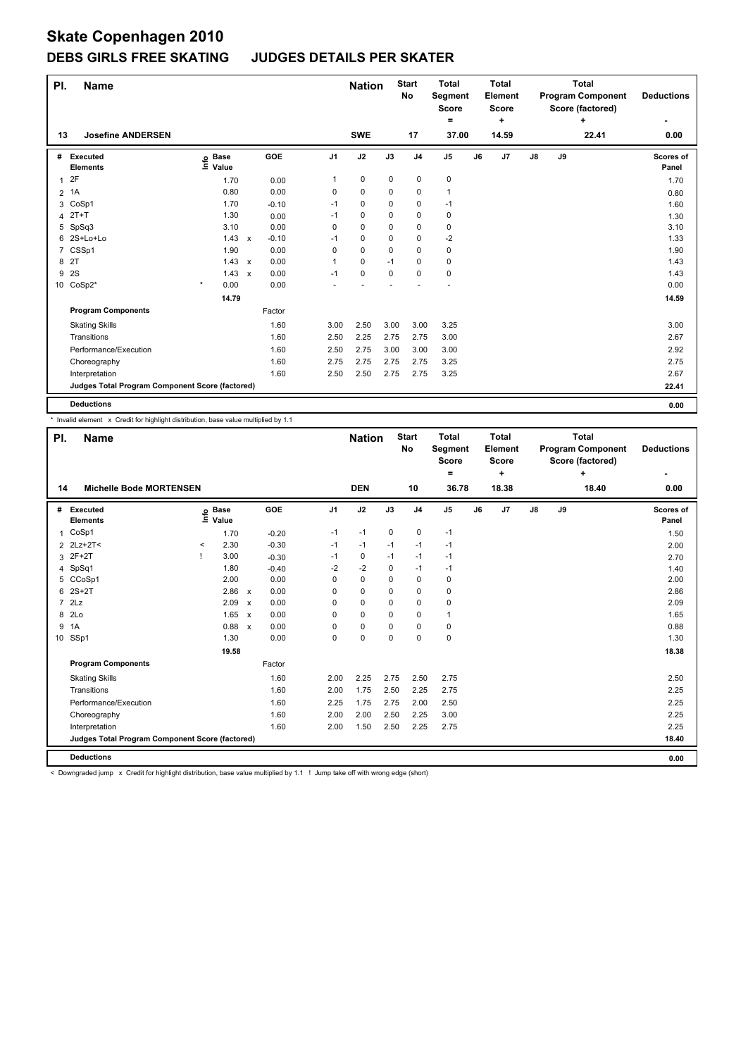#### **DEBS GIRLS FREE SKATING JUDGES DETAILS PER SKATER**

| PI. | <b>Name</b>                                     |                              |                           |         |                | <b>Nation</b> |             | <b>Start</b><br>No | <b>Total</b><br>Segment<br><b>Score</b><br>$=$ |    | <b>Total</b><br>Element<br><b>Score</b><br>٠ |               |    | <b>Total</b><br><b>Program Component</b><br>Score (factored)<br>٠ | <b>Deductions</b>  |
|-----|-------------------------------------------------|------------------------------|---------------------------|---------|----------------|---------------|-------------|--------------------|------------------------------------------------|----|----------------------------------------------|---------------|----|-------------------------------------------------------------------|--------------------|
| 13  | <b>Josefine ANDERSEN</b>                        |                              |                           |         |                | <b>SWE</b>    |             | 17                 | 37.00                                          |    | 14.59                                        |               |    | 22.41                                                             | 0.00               |
| #   | Executed<br><b>Elements</b>                     | <b>Base</b><br>١ifo<br>Value |                           | GOE     | J <sub>1</sub> | J2            | J3          | J <sub>4</sub>     | J <sub>5</sub>                                 | J6 | J7                                           | $\mathsf{J}8$ | J9 |                                                                   | Scores of<br>Panel |
| 1   | 2F                                              | 1.70                         |                           | 0.00    | 1              | $\mathbf 0$   | $\mathbf 0$ | $\mathbf 0$        | $\mathbf 0$                                    |    |                                              |               |    |                                                                   | 1.70               |
| 2   | 1A                                              | 0.80                         |                           | 0.00    | 0              | 0             | 0           | $\pmb{0}$          | $\mathbf{1}$                                   |    |                                              |               |    |                                                                   | 0.80               |
| 3   | CoSp1                                           | 1.70                         |                           | $-0.10$ | $-1$           | 0             | 0           | 0                  | $-1$                                           |    |                                              |               |    |                                                                   | 1.60               |
| 4   | $2T+T$                                          | 1.30                         |                           | 0.00    | $-1$           | 0             | 0           | 0                  | 0                                              |    |                                              |               |    |                                                                   | 1.30               |
| 5   | SpSq3                                           | 3.10                         |                           | 0.00    | 0              | $\mathbf 0$   | 0           | 0                  | 0                                              |    |                                              |               |    |                                                                   | 3.10               |
| 6   | 2S+Lo+Lo                                        | 1.43                         | $\mathsf{x}$              | $-0.10$ | $-1$           | $\mathbf 0$   | $\Omega$    | $\mathbf 0$        | $-2$                                           |    |                                              |               |    |                                                                   | 1.33               |
| 7   | CSSp1                                           | 1.90                         |                           | 0.00    | 0              | 0             | 0           | 0                  | 0                                              |    |                                              |               |    |                                                                   | 1.90               |
| 8   | 2T                                              | 1.43                         | $\boldsymbol{\mathsf{x}}$ | 0.00    | 1              | 0             | $-1$        | 0                  | 0                                              |    |                                              |               |    |                                                                   | 1.43               |
| 9   | 2S                                              | $1.43 \times$                |                           | 0.00    | $-1$           | $\mathbf 0$   | 0           | 0                  | $\mathbf 0$                                    |    |                                              |               |    |                                                                   | 1.43               |
|     | 10 CoSp2*                                       | $\star$<br>0.00              |                           | 0.00    |                |               |             |                    |                                                |    |                                              |               |    |                                                                   | 0.00               |
|     |                                                 | 14.79                        |                           |         |                |               |             |                    |                                                |    |                                              |               |    |                                                                   | 14.59              |
|     | <b>Program Components</b>                       |                              |                           | Factor  |                |               |             |                    |                                                |    |                                              |               |    |                                                                   |                    |
|     | <b>Skating Skills</b>                           |                              |                           | 1.60    | 3.00           | 2.50          | 3.00        | 3.00               | 3.25                                           |    |                                              |               |    |                                                                   | 3.00               |
|     | Transitions                                     |                              |                           | 1.60    | 2.50           | 2.25          | 2.75        | 2.75               | 3.00                                           |    |                                              |               |    |                                                                   | 2.67               |
|     | Performance/Execution                           |                              |                           | 1.60    | 2.50           | 2.75          | 3.00        | 3.00               | 3.00                                           |    |                                              |               |    |                                                                   | 2.92               |
|     | Choreography                                    |                              |                           | 1.60    | 2.75           | 2.75          | 2.75        | 2.75               | 3.25                                           |    |                                              |               |    |                                                                   | 2.75               |
|     | Interpretation                                  |                              |                           | 1.60    | 2.50           | 2.50          | 2.75        | 2.75               | 3.25                                           |    |                                              |               |    |                                                                   | 2.67               |
|     | Judges Total Program Component Score (factored) |                              |                           |         |                |               |             |                    |                                                |    |                                              |               |    |                                                                   | 22.41              |
|     | <b>Deductions</b>                               |                              |                           |         |                |               |             |                    |                                                |    |                                              |               |    |                                                                   | 0.00               |

\* Invalid element x Credit for highlight distribution, base value multiplied by 1.1

| PI.            | <b>Name</b>                                     |       | <b>Nation</b>        |                           | <b>Start</b><br>No | <b>Total</b><br>Segment<br><b>Score</b><br>۰ |             | <b>Total</b><br>Element<br><b>Score</b><br>÷ |                |                | <b>Total</b><br><b>Program Component</b><br>Score (factored)<br>÷ | <b>Deductions</b> |               |    |       |                    |
|----------------|-------------------------------------------------|-------|----------------------|---------------------------|--------------------|----------------------------------------------|-------------|----------------------------------------------|----------------|----------------|-------------------------------------------------------------------|-------------------|---------------|----|-------|--------------------|
| 14             | <b>Michelle Bode MORTENSEN</b>                  |       |                      |                           |                    |                                              | <b>DEN</b>  |                                              | 10             | 36.78          |                                                                   | 18.38             |               |    | 18.40 | 0.00               |
| #              | Executed<br><b>Elements</b>                     | ١nfo  | <b>Base</b><br>Value |                           | GOE                | J <sub>1</sub>                               | J2          | J3                                           | J <sub>4</sub> | J <sub>5</sub> | J6                                                                | J7                | $\mathsf{J}8$ | J9 |       | Scores of<br>Panel |
| 1              | CoSp1                                           |       | 1.70                 |                           | $-0.20$            | $-1$                                         | $-1$        | 0                                            | $\mathbf 0$    | $-1$           |                                                                   |                   |               |    |       | 1.50               |
| 2              | $2Lz+2T<$                                       | $\,<$ | 2.30                 |                           | $-0.30$            | $-1$                                         | $-1$        | $-1$                                         | $-1$           | $-1$           |                                                                   |                   |               |    |       | 2.00               |
| 3              | $2F+2T$                                         |       | 3.00                 |                           | $-0.30$            | $-1$                                         | 0           | $-1$                                         | $-1$           | $-1$           |                                                                   |                   |               |    |       | 2.70               |
| 4              | SpSq1                                           |       | 1.80                 |                           | $-0.40$            | $-2$                                         | $-2$        | 0                                            | $-1$           | $-1$           |                                                                   |                   |               |    |       | 1.40               |
| 5              | CCoSp1                                          |       | 2.00                 |                           | 0.00               | 0                                            | $\mathbf 0$ | $\Omega$                                     | $\mathbf 0$    | $\mathbf 0$    |                                                                   |                   |               |    |       | 2.00               |
| 6              | $2S+2T$                                         |       | 2.86                 | $\boldsymbol{\mathsf{x}}$ | 0.00               | 0                                            | $\mathbf 0$ | $\mathbf 0$                                  | $\mathbf 0$    | $\pmb{0}$      |                                                                   |                   |               |    |       | 2.86               |
| $\overline{7}$ | 2Lz                                             |       | 2.09                 | $\boldsymbol{\mathsf{x}}$ | 0.00               | 0                                            | $\mathbf 0$ | 0                                            | $\mathbf 0$    | 0              |                                                                   |                   |               |    |       | 2.09               |
| 8              | 2 <sub>LO</sub>                                 |       | 1.65                 | $\boldsymbol{\mathsf{x}}$ | 0.00               | 0                                            | $\mathbf 0$ | $\Omega$                                     | $\mathbf 0$    | $\mathbf{1}$   |                                                                   |                   |               |    |       | 1.65               |
| 9              | 1A                                              |       | 0.88                 | $\boldsymbol{\mathsf{x}}$ | 0.00               | 0                                            | $\mathbf 0$ | $\mathbf 0$                                  | $\mathbf 0$    | $\pmb{0}$      |                                                                   |                   |               |    |       | 0.88               |
| 10             | SSp1                                            |       | 1.30                 |                           | 0.00               | 0                                            | $\mathbf 0$ | $\mathbf 0$                                  | $\mathbf 0$    | $\mathbf 0$    |                                                                   |                   |               |    |       | 1.30               |
|                |                                                 |       | 19.58                |                           |                    |                                              |             |                                              |                |                |                                                                   |                   |               |    |       | 18.38              |
|                | <b>Program Components</b>                       |       |                      |                           | Factor             |                                              |             |                                              |                |                |                                                                   |                   |               |    |       |                    |
|                | <b>Skating Skills</b>                           |       |                      |                           | 1.60               | 2.00                                         | 2.25        | 2.75                                         | 2.50           | 2.75           |                                                                   |                   |               |    |       | 2.50               |
|                | Transitions                                     |       |                      |                           | 1.60               | 2.00                                         | 1.75        | 2.50                                         | 2.25           | 2.75           |                                                                   |                   |               |    |       | 2.25               |
|                | Performance/Execution                           |       |                      |                           | 1.60               | 2.25                                         | 1.75        | 2.75                                         | 2.00           | 2.50           |                                                                   |                   |               |    |       | 2.25               |
|                | Choreography                                    |       |                      |                           | 1.60               | 2.00                                         | 2.00        | 2.50                                         | 2.25           | 3.00           |                                                                   |                   |               |    |       | 2.25               |
|                | Interpretation                                  |       |                      |                           | 1.60               | 2.00                                         | 1.50        | 2.50                                         | 2.25           | 2.75           |                                                                   |                   |               |    |       | 2.25               |
|                | Judges Total Program Component Score (factored) |       |                      |                           |                    |                                              |             |                                              |                |                |                                                                   |                   |               |    |       | 18.40              |
|                | <b>Deductions</b>                               |       |                      |                           |                    |                                              |             |                                              |                |                |                                                                   |                   |               |    |       | 0.00               |

< Downgraded jump x Credit for highlight distribution, base value multiplied by 1.1 ! Jump take off with wrong edge (short)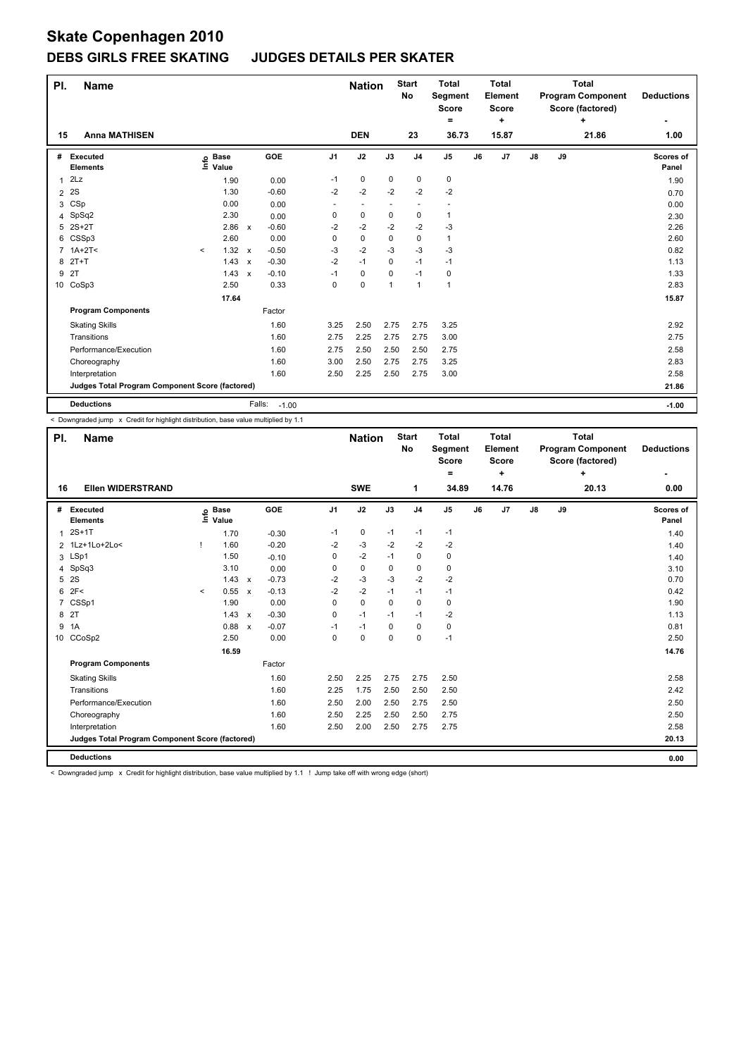#### **DEBS GIRLS FREE SKATING JUDGES DETAILS PER SKATER**

| PI. | <b>Name</b>                                     |                              |              |                   |                | <b>Nation</b>            |             | <b>Start</b><br>No | <b>Total</b><br>Segment<br><b>Score</b><br>۰ |    | <b>Total</b><br>Element<br><b>Score</b><br>٠ |               |    | <b>Total</b><br><b>Program Component</b><br>Score (factored)<br>٠ | <b>Deductions</b>         |
|-----|-------------------------------------------------|------------------------------|--------------|-------------------|----------------|--------------------------|-------------|--------------------|----------------------------------------------|----|----------------------------------------------|---------------|----|-------------------------------------------------------------------|---------------------------|
| 15  | <b>Anna MATHISEN</b>                            |                              |              |                   |                | <b>DEN</b>               |             | 23                 | 36.73                                        |    | 15.87                                        |               |    | 21.86                                                             | 1.00                      |
| #   | Executed<br><b>Elements</b>                     | <b>Base</b><br>١nfo<br>Value |              | GOE               | J <sub>1</sub> | J2                       | J3          | J <sub>4</sub>     | J <sub>5</sub>                               | J6 | J7                                           | $\mathsf{J}8$ | J9 |                                                                   | <b>Scores of</b><br>Panel |
|     | 2Lz                                             | 1.90                         |              | 0.00              | $-1$           | $\mathbf 0$              | $\mathbf 0$ | $\mathbf 0$        | $\pmb{0}$                                    |    |                                              |               |    |                                                                   | 1.90                      |
| 2   | 2S                                              | 1.30                         |              | $-0.60$           | $-2$           | $-2$                     | $-2$        | $-2$               | $-2$                                         |    |                                              |               |    |                                                                   | 0.70                      |
| 3   | CSp                                             | 0.00                         |              | 0.00              |                | $\overline{\phantom{a}}$ |             | ٠                  |                                              |    |                                              |               |    |                                                                   | 0.00                      |
|     | 4 SpSq2                                         | 2.30                         |              | 0.00              | 0              | $\pmb{0}$                | 0           | 0                  | $\mathbf{1}$                                 |    |                                              |               |    |                                                                   | 2.30                      |
| 5   | $2S+2T$                                         | 2.86                         | $\mathsf{x}$ | $-0.60$           | $-2$           | $-2$                     | $-2$        | $-2$               | -3                                           |    |                                              |               |    |                                                                   | 2.26                      |
|     | 6 CSSp3                                         | 2.60                         |              | 0.00              | 0              | $\mathbf 0$              | 0           | $\mathbf 0$        | $\mathbf{1}$                                 |    |                                              |               |    |                                                                   | 2.60                      |
|     | $7.1A+2T5$                                      | 1.32<br>$\prec$              | $\mathsf{x}$ | $-0.50$           | -3             | $-2$                     | $-3$        | $-3$               | $-3$                                         |    |                                              |               |    |                                                                   | 0.82                      |
|     | 8 2T+T                                          | 1.43                         | $\mathsf{x}$ | $-0.30$           | $-2$           | $-1$                     | 0           | $-1$               | $-1$                                         |    |                                              |               |    |                                                                   | 1.13                      |
| 9   | 2T                                              | 1.43                         | $\mathsf{x}$ | $-0.10$           | $-1$           | 0                        | 0           | -1                 | 0                                            |    |                                              |               |    |                                                                   | 1.33                      |
|     | 10 CoSp3                                        | 2.50                         |              | 0.33              | 0              | $\mathbf 0$              | 1           | $\mathbf{1}$       | $\overline{1}$                               |    |                                              |               |    |                                                                   | 2.83                      |
|     |                                                 | 17.64                        |              |                   |                |                          |             |                    |                                              |    |                                              |               |    |                                                                   | 15.87                     |
|     | <b>Program Components</b>                       |                              |              | Factor            |                |                          |             |                    |                                              |    |                                              |               |    |                                                                   |                           |
|     | <b>Skating Skills</b>                           |                              |              | 1.60              | 3.25           | 2.50                     | 2.75        | 2.75               | 3.25                                         |    |                                              |               |    |                                                                   | 2.92                      |
|     | Transitions                                     |                              |              | 1.60              | 2.75           | 2.25                     | 2.75        | 2.75               | 3.00                                         |    |                                              |               |    |                                                                   | 2.75                      |
|     | Performance/Execution                           |                              |              | 1.60              | 2.75           | 2.50                     | 2.50        | 2.50               | 2.75                                         |    |                                              |               |    |                                                                   | 2.58                      |
|     | Choreography                                    |                              |              | 1.60              | 3.00           | 2.50                     | 2.75        | 2.75               | 3.25                                         |    |                                              |               |    |                                                                   | 2.83                      |
|     | Interpretation                                  |                              |              | 1.60              | 2.50           | 2.25                     | 2.50        | 2.75               | 3.00                                         |    |                                              |               |    |                                                                   | 2.58                      |
|     | Judges Total Program Component Score (factored) |                              |              |                   |                |                          |             |                    |                                              |    |                                              |               |    |                                                                   | 21.86                     |
|     | <b>Deductions</b>                               |                              |              | Falls:<br>$-1.00$ |                |                          |             |                    |                                              |    |                                              |               |    |                                                                   | $-1.00$                   |

< Downgraded jump x Credit for highlight distribution, base value multiplied by 1.1

| PI.            | <b>Name</b>                                     |         |                            |                           |            |                | <b>Nation</b> |             | <b>Start</b><br><b>No</b> | <b>Total</b><br>Segment<br><b>Score</b><br>$\equiv$ |    | <b>Total</b><br>Element<br><b>Score</b><br>٠ |               |    | <b>Total</b><br><b>Program Component</b><br>Score (factored)<br>÷ | <b>Deductions</b>  |
|----------------|-------------------------------------------------|---------|----------------------------|---------------------------|------------|----------------|---------------|-------------|---------------------------|-----------------------------------------------------|----|----------------------------------------------|---------------|----|-------------------------------------------------------------------|--------------------|
| 16             | <b>Ellen WIDERSTRAND</b>                        |         |                            |                           |            |                | <b>SWE</b>    |             | 1                         | 34.89                                               |    | 14.76                                        |               |    | 20.13                                                             | 0.00               |
| #              | Executed<br><b>Elements</b>                     |         | e Base<br>⊆ Value<br>Value |                           | <b>GOE</b> | J <sub>1</sub> | J2            | J3          | J <sub>4</sub>            | J <sub>5</sub>                                      | J6 | J7                                           | $\mathsf{J}8$ | J9 |                                                                   | Scores of<br>Panel |
| $\mathbf{1}$   | $2S+1T$                                         |         | 1.70                       |                           | $-0.30$    | $-1$           | 0             | $-1$        | $-1$                      | $-1$                                                |    |                                              |               |    |                                                                   | 1.40               |
|                | 2 1Lz+1Lo+2Lo<                                  |         | 1.60                       |                           | $-0.20$    | $-2$           | $-3$          | $-2$        | $-2$                      | $-2$                                                |    |                                              |               |    |                                                                   | 1.40               |
|                | 3 LSp1                                          |         | 1.50                       |                           | $-0.10$    | 0              | $-2$          | $-1$        | $\mathbf 0$               | 0                                                   |    |                                              |               |    |                                                                   | 1.40               |
|                | 4 SpSq3                                         |         | 3.10                       |                           | 0.00       | 0              | $\pmb{0}$     | 0           | $\mathbf 0$               | 0                                                   |    |                                              |               |    |                                                                   | 3.10               |
| 5              | 2S                                              |         | 1.43                       | $\mathsf{x}$              | $-0.73$    | $-2$           | $-3$          | $-3$        | $-2$                      | $-2$                                                |    |                                              |               |    |                                                                   | 0.70               |
| 6              | 2F<                                             | $\prec$ | 0.55                       | $\boldsymbol{\mathsf{x}}$ | $-0.13$    | $-2$           | $-2$          | $-1$        | $-1$                      | $-1$                                                |    |                                              |               |    |                                                                   | 0.42               |
| $\overline{7}$ | CSSp1                                           |         | 1.90                       |                           | 0.00       | 0              | $\mathbf 0$   | $\Omega$    | $\mathbf 0$               | 0                                                   |    |                                              |               |    |                                                                   | 1.90               |
|                | 8 2T                                            |         | 1.43                       | $\boldsymbol{\mathsf{x}}$ | $-0.30$    | 0              | $-1$          | $-1$        | $-1$                      | $-2$                                                |    |                                              |               |    |                                                                   | 1.13               |
| 9              | 1A                                              |         | 0.88                       | $\boldsymbol{\mathsf{x}}$ | $-0.07$    | $-1$           | $-1$          | $\Omega$    | $\mathbf 0$               | 0                                                   |    |                                              |               |    |                                                                   | 0.81               |
| 10             | CCoSp2                                          |         | 2.50                       |                           | 0.00       | 0              | $\pmb{0}$     | $\mathbf 0$ | $\mathbf 0$               | $-1$                                                |    |                                              |               |    |                                                                   | 2.50               |
|                |                                                 |         | 16.59                      |                           |            |                |               |             |                           |                                                     |    |                                              |               |    |                                                                   | 14.76              |
|                | <b>Program Components</b>                       |         |                            |                           | Factor     |                |               |             |                           |                                                     |    |                                              |               |    |                                                                   |                    |
|                | <b>Skating Skills</b>                           |         |                            |                           | 1.60       | 2.50           | 2.25          | 2.75        | 2.75                      | 2.50                                                |    |                                              |               |    |                                                                   | 2.58               |
|                | Transitions                                     |         |                            |                           | 1.60       | 2.25           | 1.75          | 2.50        | 2.50                      | 2.50                                                |    |                                              |               |    |                                                                   | 2.42               |
|                | Performance/Execution                           |         |                            |                           | 1.60       | 2.50           | 2.00          | 2.50        | 2.75                      | 2.50                                                |    |                                              |               |    |                                                                   | 2.50               |
|                | Choreography                                    |         |                            |                           | 1.60       | 2.50           | 2.25          | 2.50        | 2.50                      | 2.75                                                |    |                                              |               |    |                                                                   | 2.50               |
|                | Interpretation                                  |         |                            |                           | 1.60       | 2.50           | 2.00          | 2.50        | 2.75                      | 2.75                                                |    |                                              |               |    |                                                                   | 2.58               |
|                | Judges Total Program Component Score (factored) |         |                            |                           |            |                |               |             |                           |                                                     |    |                                              |               |    |                                                                   | 20.13              |
|                | <b>Deductions</b>                               |         |                            |                           |            |                |               |             |                           |                                                     |    |                                              |               |    |                                                                   | 0.00               |

< Downgraded jump x Credit for highlight distribution, base value multiplied by 1.1 ! Jump take off with wrong edge (short)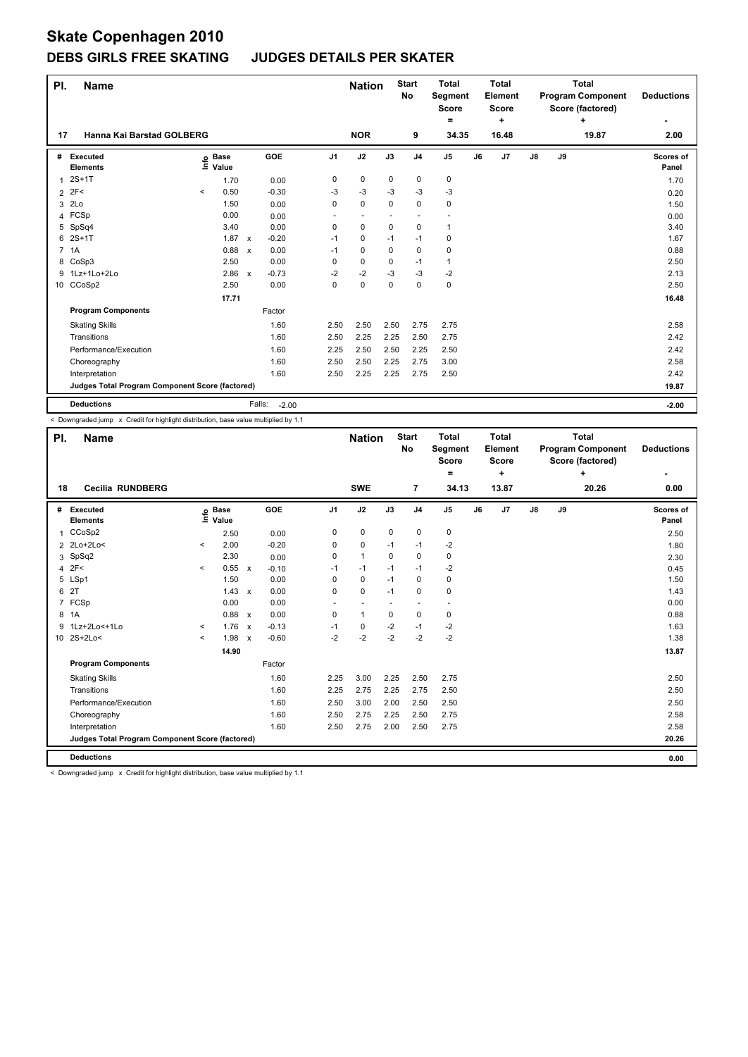## **DEBS GIRLS FREE SKATING JUDGES DETAILS PER SKATER**

| PI.            | <b>Name</b>                                     |         |                      |              |                   |                | <b>Nation</b> |             | <b>Start</b><br>No | <b>Total</b><br>Segment<br><b>Score</b><br>= |    | <b>Total</b><br>Element<br>Score<br>÷ |               |    | <b>Total</b><br><b>Program Component</b><br>Score (factored)<br>÷ | <b>Deductions</b>  |
|----------------|-------------------------------------------------|---------|----------------------|--------------|-------------------|----------------|---------------|-------------|--------------------|----------------------------------------------|----|---------------------------------------|---------------|----|-------------------------------------------------------------------|--------------------|
| 17             | Hanna Kai Barstad GOLBERG                       |         |                      |              |                   |                | <b>NOR</b>    |             | 9                  | 34.35                                        |    | 16.48                                 |               |    | 19.87                                                             | 2.00               |
| #              | Executed<br><b>Elements</b>                     | ١nfo    | <b>Base</b><br>Value |              | GOE               | J <sub>1</sub> | J2            | J3          | J <sub>4</sub>     | J <sub>5</sub>                               | J6 | J7                                    | $\mathsf{J}8$ | J9 |                                                                   | Scores of<br>Panel |
| 1              | $2S+1T$                                         |         | 1.70                 |              | 0.00              | 0              | $\pmb{0}$     | 0           | $\pmb{0}$          | $\pmb{0}$                                    |    |                                       |               |    |                                                                   | 1.70               |
| 2              | 2F<                                             | $\prec$ | 0.50                 |              | $-0.30$           | $-3$           | $-3$          | $-3$        | $-3$               | $-3$                                         |    |                                       |               |    |                                                                   | 0.20               |
| 3              | 2Lo                                             |         | 1.50                 |              | 0.00              | 0              | $\mathbf 0$   | $\mathbf 0$ | $\mathbf 0$        | $\pmb{0}$                                    |    |                                       |               |    |                                                                   | 1.50               |
|                | 4 FCSp                                          |         | 0.00                 |              | 0.00              |                |               |             |                    |                                              |    |                                       |               |    |                                                                   | 0.00               |
|                | 5 SpSq4                                         |         | 3.40                 |              | 0.00              | 0              | $\mathbf 0$   | $\mathbf 0$ | $\pmb{0}$          | $\mathbf{1}$                                 |    |                                       |               |    |                                                                   | 3.40               |
| 6              | $2S+1T$                                         |         | 1.87                 | $\mathsf{x}$ | $-0.20$           | $-1$           | 0             | $-1$        | $-1$               | 0                                            |    |                                       |               |    |                                                                   | 1.67               |
| $\overline{7}$ | 1A                                              |         | 0.88                 | $\mathsf{x}$ | 0.00              | $-1$           | $\mathbf 0$   | $\mathbf 0$ | $\mathbf 0$        | $\pmb{0}$                                    |    |                                       |               |    |                                                                   | 0.88               |
|                | 8 CoSp3                                         |         | 2.50                 |              | 0.00              | 0              | $\mathbf 0$   | 0           | $-1$               | $\mathbf{1}$                                 |    |                                       |               |    |                                                                   | 2.50               |
| 9              | 1Lz+1Lo+2Lo                                     |         | 2.86                 | $\mathsf{x}$ | $-0.73$           | $-2$           | $-2$          | $-3$        | $-3$               | $-2$                                         |    |                                       |               |    |                                                                   | 2.13               |
|                | 10 CCoSp2                                       |         | 2.50                 |              | 0.00              | 0              | $\mathbf 0$   | 0           | $\mathbf 0$        | $\pmb{0}$                                    |    |                                       |               |    |                                                                   | 2.50               |
|                |                                                 |         | 17.71                |              |                   |                |               |             |                    |                                              |    |                                       |               |    |                                                                   | 16.48              |
|                | <b>Program Components</b>                       |         |                      |              | Factor            |                |               |             |                    |                                              |    |                                       |               |    |                                                                   |                    |
|                | <b>Skating Skills</b>                           |         |                      |              | 1.60              | 2.50           | 2.50          | 2.50        | 2.75               | 2.75                                         |    |                                       |               |    |                                                                   | 2.58               |
|                | Transitions                                     |         |                      |              | 1.60              | 2.50           | 2.25          | 2.25        | 2.50               | 2.75                                         |    |                                       |               |    |                                                                   | 2.42               |
|                | Performance/Execution                           |         |                      |              | 1.60              | 2.25           | 2.50          | 2.50        | 2.25               | 2.50                                         |    |                                       |               |    |                                                                   | 2.42               |
|                | Choreography                                    |         |                      |              | 1.60              | 2.50           | 2.50          | 2.25        | 2.75               | 3.00                                         |    |                                       |               |    |                                                                   | 2.58               |
|                | Interpretation                                  |         |                      |              | 1.60              | 2.50           | 2.25          | 2.25        | 2.75               | 2.50                                         |    |                                       |               |    |                                                                   | 2.42               |
|                | Judges Total Program Component Score (factored) |         |                      |              |                   |                |               |             |                    |                                              |    |                                       |               |    |                                                                   | 19.87              |
|                | <b>Deductions</b>                               |         |                      |              | Falls:<br>$-2.00$ |                |               |             |                    |                                              |    |                                       |               |    |                                                                   | $-2.00$            |

< Downgraded jump x Credit for highlight distribution, base value multiplied by 1.1

| PI.            | <b>Name</b>                                     |                     |                      |                           |         |                | <b>Nation</b> |             | <b>Start</b><br><b>No</b> | <b>Total</b><br>Segment<br><b>Score</b><br>۰ |    | <b>Total</b><br>Element<br><b>Score</b><br>÷ |               |    | <b>Total</b><br><b>Program Component</b><br>Score (factored)<br>÷ | <b>Deductions</b>  |
|----------------|-------------------------------------------------|---------------------|----------------------|---------------------------|---------|----------------|---------------|-------------|---------------------------|----------------------------------------------|----|----------------------------------------------|---------------|----|-------------------------------------------------------------------|--------------------|
| 18             | <b>Cecilia RUNDBERG</b>                         |                     |                      |                           |         |                | <b>SWE</b>    |             | $\overline{7}$            | 34.13                                        |    | 13.87                                        |               |    | 20.26                                                             | 0.00               |
| #              | Executed<br><b>Elements</b>                     | ١nfo                | <b>Base</b><br>Value |                           | GOE     | J <sub>1</sub> | J2            | J3          | J <sub>4</sub>            | $\mathsf{J}5$                                | J6 | J7                                           | $\mathsf{J}8$ | J9 |                                                                   | Scores of<br>Panel |
| 1              | CCoSp2                                          |                     | 2.50                 |                           | 0.00    | 0              | $\mathbf 0$   | $\mathbf 0$ | $\mathbf 0$               | $\mathbf 0$                                  |    |                                              |               |    |                                                                   | 2.50               |
|                | 2 2Lo+2Lo<                                      | $\checkmark$        | 2.00                 |                           | $-0.20$ | 0              | $\pmb{0}$     | -1          | $-1$                      | $-2$                                         |    |                                              |               |    |                                                                   | 1.80               |
| 3              | SpSq2                                           |                     | 2.30                 |                           | 0.00    | 0              | $\mathbf{1}$  | $\Omega$    | $\mathbf 0$               | $\pmb{0}$                                    |    |                                              |               |    |                                                                   | 2.30               |
| 4              | 2F<                                             | $\hat{\phantom{a}}$ | 0.55                 | $\mathsf{x}$              | $-0.10$ | $-1$           | $-1$          | $-1$        | $-1$                      | $-2$                                         |    |                                              |               |    |                                                                   | 0.45               |
| 5              | LSp1                                            |                     | 1.50                 |                           | 0.00    | 0              | $\mathbf 0$   | $-1$        | $\Omega$                  | $\pmb{0}$                                    |    |                                              |               |    |                                                                   | 1.50               |
| 6              | 2T                                              |                     | 1.43                 | $\boldsymbol{\mathsf{x}}$ | 0.00    | 0              | $\mathbf 0$   | $-1$        | $\mathbf 0$               | $\mathbf 0$                                  |    |                                              |               |    |                                                                   | 1.43               |
| $\overline{7}$ | FCSp                                            |                     | 0.00                 |                           | 0.00    | ÷.             | ٠             | ٠           | $\overline{\phantom{a}}$  | $\overline{\phantom{a}}$                     |    |                                              |               |    |                                                                   | 0.00               |
| 8              | 1A                                              |                     | 0.88                 | $\mathbf{x}$              | 0.00    | 0              | $\mathbf{1}$  | $\Omega$    | $\mathbf 0$               | 0                                            |    |                                              |               |    |                                                                   | 0.88               |
| 9              | 1Lz+2Lo<+1Lo                                    | $\checkmark$        | 1.76                 | $\mathsf{x}$              | $-0.13$ | $-1$           | $\pmb{0}$     | $-2$        | $-1$                      | $-2$                                         |    |                                              |               |    |                                                                   | 1.63               |
| 10             | $2S+2Lo<$                                       | $\hat{}$            | 1.98                 | $\mathsf{x}$              | $-0.60$ | $-2$           | $-2$          | $-2$        | $-2$                      | $-2$                                         |    |                                              |               |    |                                                                   | 1.38               |
|                |                                                 |                     | 14.90                |                           |         |                |               |             |                           |                                              |    |                                              |               |    |                                                                   | 13.87              |
|                | <b>Program Components</b>                       |                     |                      |                           | Factor  |                |               |             |                           |                                              |    |                                              |               |    |                                                                   |                    |
|                | <b>Skating Skills</b>                           |                     |                      |                           | 1.60    | 2.25           | 3.00          | 2.25        | 2.50                      | 2.75                                         |    |                                              |               |    |                                                                   | 2.50               |
|                | Transitions                                     |                     |                      |                           | 1.60    | 2.25           | 2.75          | 2.25        | 2.75                      | 2.50                                         |    |                                              |               |    |                                                                   | 2.50               |
|                | Performance/Execution                           |                     |                      |                           | 1.60    | 2.50           | 3.00          | 2.00        | 2.50                      | 2.50                                         |    |                                              |               |    |                                                                   | 2.50               |
|                | Choreography                                    |                     |                      |                           | 1.60    | 2.50           | 2.75          | 2.25        | 2.50                      | 2.75                                         |    |                                              |               |    |                                                                   | 2.58               |
|                | Interpretation                                  |                     |                      |                           | 1.60    | 2.50           | 2.75          | 2.00        | 2.50                      | 2.75                                         |    |                                              |               |    |                                                                   | 2.58               |
|                | Judges Total Program Component Score (factored) |                     |                      |                           |         |                |               |             |                           |                                              |    |                                              |               |    |                                                                   | 20.26              |
|                | <b>Deductions</b>                               |                     |                      |                           |         |                |               |             |                           |                                              |    |                                              |               |    |                                                                   | 0.00               |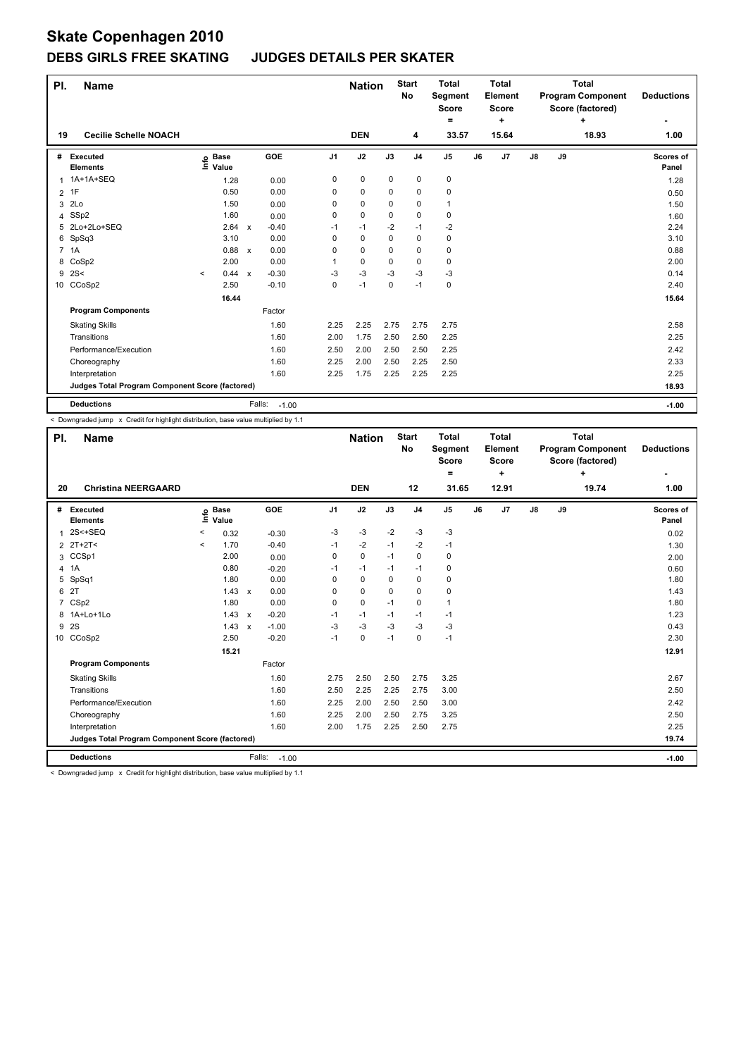## **DEBS GIRLS FREE SKATING JUDGES DETAILS PER SKATER**

| PI.            | <b>Name</b>                                     |                            |                           |                   |                | <b>Nation</b> |          | <b>Start</b><br>No | <b>Total</b><br>Segment<br><b>Score</b><br>$=$ |    | <b>Total</b><br>Element<br><b>Score</b><br>٠ |               |    | <b>Total</b><br><b>Program Component</b><br>Score (factored)<br>٠ | <b>Deductions</b>         |
|----------------|-------------------------------------------------|----------------------------|---------------------------|-------------------|----------------|---------------|----------|--------------------|------------------------------------------------|----|----------------------------------------------|---------------|----|-------------------------------------------------------------------|---------------------------|
| 19             | <b>Cecilie Schelle NOACH</b>                    |                            |                           |                   |                | <b>DEN</b>    |          | 4                  | 33.57                                          |    | 15.64                                        |               |    | 18.93                                                             | 1.00                      |
| #              | Executed<br><b>Elements</b>                     | <b>Base</b><br>۴٥<br>Value |                           | <b>GOE</b>        | J <sub>1</sub> | J2            | J3       | J <sub>4</sub>     | J <sub>5</sub>                                 | J6 | J7                                           | $\mathsf{J}8$ | J9 |                                                                   | <b>Scores of</b><br>Panel |
|                | 1 1A+1A+SEQ                                     | 1.28                       |                           | 0.00              | 0              | $\mathbf 0$   | 0        | 0                  | $\pmb{0}$                                      |    |                                              |               |    |                                                                   | 1.28                      |
| 2              | 1F                                              | 0.50                       |                           | 0.00              | 0              | $\mathbf 0$   | 0        | 0                  | 0                                              |    |                                              |               |    |                                                                   | 0.50                      |
| 3              | 2Lo                                             | 1.50                       |                           | 0.00              | 0              | $\mathbf 0$   | $\Omega$ | 0                  | $\mathbf{1}$                                   |    |                                              |               |    |                                                                   | 1.50                      |
| 4              | SSp2                                            | 1.60                       |                           | 0.00              | 0              | $\mathbf 0$   | 0        | $\mathbf 0$        | $\mathbf 0$                                    |    |                                              |               |    |                                                                   | 1.60                      |
|                | 5 2Lo+2Lo+SEQ                                   | 2.64                       | $\boldsymbol{\mathsf{x}}$ | $-0.40$           | $-1$           | $-1$          | $-2$     | $-1$               | $-2$                                           |    |                                              |               |    |                                                                   | 2.24                      |
| 6              | SpSq3                                           | 3.10                       |                           | 0.00              | 0              | $\mathbf 0$   | 0        | $\mathbf 0$        | 0                                              |    |                                              |               |    |                                                                   | 3.10                      |
| $\overline{7}$ | 1A                                              | 0.88                       | $\boldsymbol{\mathsf{x}}$ | 0.00              | 0              | $\mathbf 0$   | 0        | $\mathbf 0$        | 0                                              |    |                                              |               |    |                                                                   | 0.88                      |
| 8              | CoSp2                                           | 2.00                       |                           | 0.00              | 1              | $\mathbf 0$   | 0        | 0                  | 0                                              |    |                                              |               |    |                                                                   | 2.00                      |
| 9              | 2S<                                             | 0.44<br>$\prec$            | $\boldsymbol{\mathsf{x}}$ | $-0.30$           | -3             | $-3$          | $-3$     | -3                 | -3                                             |    |                                              |               |    |                                                                   | 0.14                      |
|                | 10 CCoSp2                                       | 2.50                       |                           | $-0.10$           | 0              | $-1$          | 0        | $-1$               | 0                                              |    |                                              |               |    |                                                                   | 2.40                      |
|                |                                                 | 16.44                      |                           |                   |                |               |          |                    |                                                |    |                                              |               |    |                                                                   | 15.64                     |
|                | <b>Program Components</b>                       |                            |                           | Factor            |                |               |          |                    |                                                |    |                                              |               |    |                                                                   |                           |
|                | <b>Skating Skills</b>                           |                            |                           | 1.60              | 2.25           | 2.25          | 2.75     | 2.75               | 2.75                                           |    |                                              |               |    |                                                                   | 2.58                      |
|                | Transitions                                     |                            |                           | 1.60              | 2.00           | 1.75          | 2.50     | 2.50               | 2.25                                           |    |                                              |               |    |                                                                   | 2.25                      |
|                | Performance/Execution                           |                            |                           | 1.60              | 2.50           | 2.00          | 2.50     | 2.50               | 2.25                                           |    |                                              |               |    |                                                                   | 2.42                      |
|                | Choreography                                    |                            |                           | 1.60              | 2.25           | 2.00          | 2.50     | 2.25               | 2.50                                           |    |                                              |               |    |                                                                   | 2.33                      |
|                | Interpretation                                  |                            |                           | 1.60              | 2.25           | 1.75          | 2.25     | 2.25               | 2.25                                           |    |                                              |               |    |                                                                   | 2.25                      |
|                | Judges Total Program Component Score (factored) |                            |                           |                   |                |               |          |                    |                                                |    |                                              |               |    |                                                                   | 18.93                     |
|                | <b>Deductions</b>                               |                            |                           | Falls:<br>$-1.00$ |                |               |          |                    |                                                |    |                                              |               |    |                                                                   | $-1.00$                   |

< Downgraded jump x Credit for highlight distribution, base value multiplied by 1.1

| PI.            | <b>Name</b>                                     |         |                            |                           |                   |                | <b>Nation</b> |             | <b>Start</b><br>No | <b>Total</b><br>Segment<br><b>Score</b><br>= |    | <b>Total</b><br>Element<br><b>Score</b><br>÷ |               |    | <b>Total</b><br><b>Program Component</b><br>Score (factored)<br>÷ | <b>Deductions</b>  |
|----------------|-------------------------------------------------|---------|----------------------------|---------------------------|-------------------|----------------|---------------|-------------|--------------------|----------------------------------------------|----|----------------------------------------------|---------------|----|-------------------------------------------------------------------|--------------------|
| 20             | <b>Christina NEERGAARD</b>                      |         |                            |                           |                   |                | <b>DEN</b>    |             | 12                 | 31.65                                        |    | 12.91                                        |               |    | 19.74                                                             | 1.00               |
| #              | <b>Executed</b><br><b>Elements</b>              |         | e Base<br>⊆ Value<br>Value |                           | GOE               | J <sub>1</sub> | J2            | J3          | J <sub>4</sub>     | J <sub>5</sub>                               | J6 | J7                                           | $\mathsf{J}8$ | J9 |                                                                   | Scores of<br>Panel |
| 1              | $2S+SEQ$                                        | $\,<\,$ | 0.32                       |                           | $-0.30$           | -3             | $-3$          | $-2$        | $-3$               | $-3$                                         |    |                                              |               |    |                                                                   | 0.02               |
| 2              | $2T+2T<$                                        | $\prec$ | 1.70                       |                           | $-0.40$           | $-1$           | $-2$          | $-1$        | $-2$               | $-1$                                         |    |                                              |               |    |                                                                   | 1.30               |
| 3              | CCSp1                                           |         | 2.00                       |                           | 0.00              | $\mathbf 0$    | $\mathbf 0$   | $-1$        | $\mathbf 0$        | 0                                            |    |                                              |               |    |                                                                   | 2.00               |
|                | 4 1A                                            |         | 0.80                       |                           | $-0.20$           | $-1$           | $-1$          | $-1$        | $-1$               | 0                                            |    |                                              |               |    |                                                                   | 0.60               |
| 5              | SpSq1                                           |         | 1.80                       |                           | 0.00              | $\Omega$       | $\Omega$      | $\Omega$    | 0                  | 0                                            |    |                                              |               |    |                                                                   | 1.80               |
| 6              | 2T                                              |         | 1.43                       | $\mathsf{x}$              | 0.00              | 0              | $\mathbf 0$   | $\mathbf 0$ | $\mathbf 0$        | 0                                            |    |                                              |               |    |                                                                   | 1.43               |
| $\overline{7}$ | CSp2                                            |         | 1.80                       |                           | 0.00              | 0              | $\mathbf 0$   | $-1$        | $\mathbf 0$        | $\mathbf{1}$                                 |    |                                              |               |    |                                                                   | 1.80               |
|                | 8 1A+Lo+1Lo                                     |         | 1.43                       | $\mathsf{x}$              | $-0.20$           | $-1$           | $-1$          | $-1$        | $-1$               | $-1$                                         |    |                                              |               |    |                                                                   | 1.23               |
| 9              | 2S                                              |         | 1.43                       | $\boldsymbol{\mathsf{x}}$ | $-1.00$           | -3             | $-3$          | -3          | $-3$               | -3                                           |    |                                              |               |    |                                                                   | 0.43               |
|                | 10 CCoSp2                                       |         | 2.50                       |                           | $-0.20$           | $-1$           | $\mathbf 0$   | $-1$        | $\mathbf 0$        | $-1$                                         |    |                                              |               |    |                                                                   | 2.30               |
|                |                                                 |         | 15.21                      |                           |                   |                |               |             |                    |                                              |    |                                              |               |    |                                                                   | 12.91              |
|                | <b>Program Components</b>                       |         |                            |                           | Factor            |                |               |             |                    |                                              |    |                                              |               |    |                                                                   |                    |
|                | <b>Skating Skills</b>                           |         |                            |                           | 1.60              | 2.75           | 2.50          | 2.50        | 2.75               | 3.25                                         |    |                                              |               |    |                                                                   | 2.67               |
|                | Transitions                                     |         |                            |                           | 1.60              | 2.50           | 2.25          | 2.25        | 2.75               | 3.00                                         |    |                                              |               |    |                                                                   | 2.50               |
|                | Performance/Execution                           |         |                            |                           | 1.60              | 2.25           | 2.00          | 2.50        | 2.50               | 3.00                                         |    |                                              |               |    |                                                                   | 2.42               |
|                | Choreography                                    |         |                            |                           | 1.60              | 2.25           | 2.00          | 2.50        | 2.75               | 3.25                                         |    |                                              |               |    |                                                                   | 2.50               |
|                | Interpretation                                  |         |                            |                           | 1.60              | 2.00           | 1.75          | 2.25        | 2.50               | 2.75                                         |    |                                              |               |    |                                                                   | 2.25               |
|                | Judges Total Program Component Score (factored) |         |                            |                           |                   |                |               |             |                    |                                              |    |                                              |               |    |                                                                   | 19.74              |
|                | <b>Deductions</b>                               |         |                            |                           | Falls:<br>$-1.00$ |                |               |             |                    |                                              |    |                                              |               |    |                                                                   | $-1.00$            |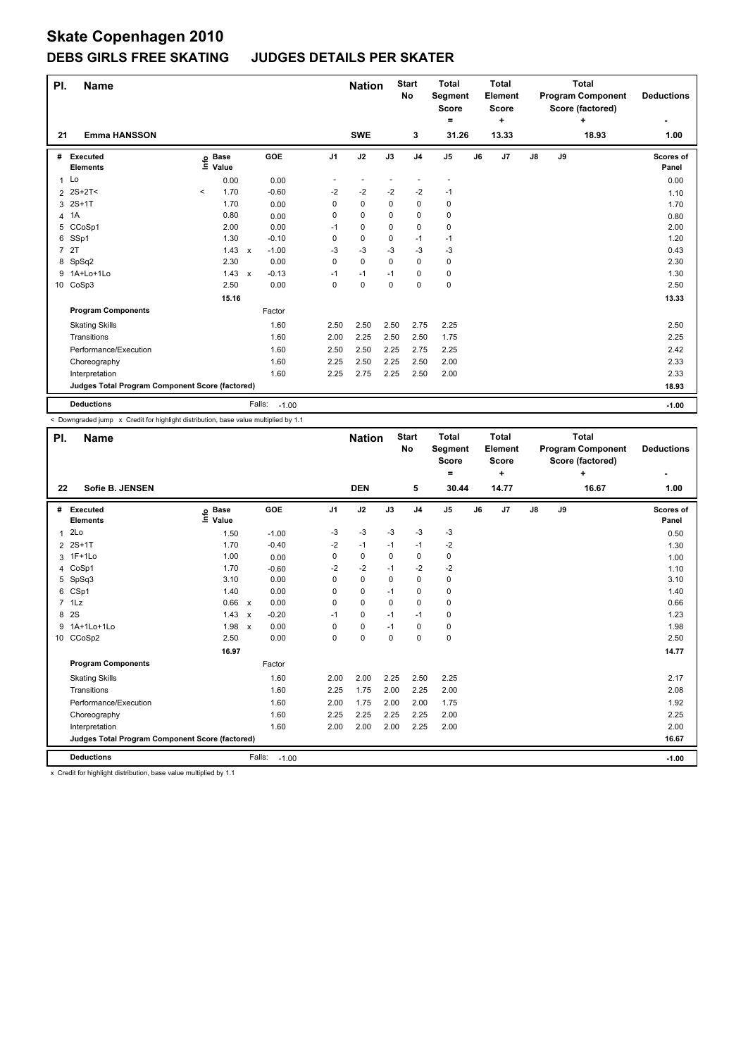## **DEBS GIRLS FREE SKATING JUDGES DETAILS PER SKATER**

| PI.            | <b>Name</b>                                     |         |                      |                           |                   |                | <b>Nation</b> |      | <b>Start</b><br>No | <b>Total</b><br><b>Segment</b><br><b>Score</b><br>٠ |    | <b>Total</b><br>Element<br><b>Score</b><br>٠ |               |    | <b>Total</b><br><b>Program Component</b><br>Score (factored)<br>÷ | <b>Deductions</b>         |
|----------------|-------------------------------------------------|---------|----------------------|---------------------------|-------------------|----------------|---------------|------|--------------------|-----------------------------------------------------|----|----------------------------------------------|---------------|----|-------------------------------------------------------------------|---------------------------|
| 21             | <b>Emma HANSSON</b>                             |         |                      |                           |                   |                | <b>SWE</b>    |      | 3                  | 31.26                                               |    | 13.33                                        |               |    | 18.93                                                             | 1.00                      |
| #              | Executed<br><b>Elements</b>                     | ۴٥      | <b>Base</b><br>Value |                           | GOE               | J <sub>1</sub> | J2            | J3   | J <sub>4</sub>     | J <sub>5</sub>                                      | J6 | J7                                           | $\mathsf{J}8$ | J9 |                                                                   | <b>Scores of</b><br>Panel |
|                | $1$ Lo                                          |         | 0.00                 |                           | 0.00              |                |               |      |                    |                                                     |    |                                              |               |    |                                                                   | 0.00                      |
| 2              | $2S+2T<$                                        | $\,<\,$ | 1.70                 |                           | $-0.60$           | $-2$           | $-2$          | $-2$ | $-2$               | -1                                                  |    |                                              |               |    |                                                                   | 1.10                      |
| 3              | $2S+1T$                                         |         | 1.70                 |                           | 0.00              | 0              | 0             | 0    | 0                  | 0                                                   |    |                                              |               |    |                                                                   | 1.70                      |
| 4              | 1A                                              |         | 0.80                 |                           | 0.00              | 0              | 0             | 0    | $\mathbf 0$        | 0                                                   |    |                                              |               |    |                                                                   | 0.80                      |
| 5              | CCoSp1                                          |         | 2.00                 |                           | 0.00              | $-1$           | 0             | 0    | 0                  | 0                                                   |    |                                              |               |    |                                                                   | 2.00                      |
| 6              | SSp1                                            |         | 1.30                 |                           | $-0.10$           | 0              | $\mathbf 0$   | 0    | $-1$               | $-1$                                                |    |                                              |               |    |                                                                   | 1.20                      |
| $\overline{7}$ | 2T                                              |         | 1.43                 | $\boldsymbol{\mathsf{x}}$ | $-1.00$           | $-3$           | $-3$          | -3   | $-3$               | $-3$                                                |    |                                              |               |    |                                                                   | 0.43                      |
| 8              | SpSq2                                           |         | 2.30                 |                           | 0.00              | 0              | $\mathbf 0$   | 0    | $\mathbf 0$        | 0                                                   |    |                                              |               |    |                                                                   | 2.30                      |
| 9              | 1A+Lo+1Lo                                       |         | 1.43                 | $\boldsymbol{\mathsf{x}}$ | $-0.13$           | $-1$           | $-1$          | $-1$ | 0                  | 0                                                   |    |                                              |               |    |                                                                   | 1.30                      |
|                | 10 CoSp3                                        |         | 2.50                 |                           | 0.00              | 0              | $\mathbf 0$   | 0    | $\mathbf 0$        | $\pmb{0}$                                           |    |                                              |               |    |                                                                   | 2.50                      |
|                |                                                 |         | 15.16                |                           |                   |                |               |      |                    |                                                     |    |                                              |               |    |                                                                   | 13.33                     |
|                | <b>Program Components</b>                       |         |                      |                           | Factor            |                |               |      |                    |                                                     |    |                                              |               |    |                                                                   |                           |
|                | <b>Skating Skills</b>                           |         |                      |                           | 1.60              | 2.50           | 2.50          | 2.50 | 2.75               | 2.25                                                |    |                                              |               |    |                                                                   | 2.50                      |
|                | Transitions                                     |         |                      |                           | 1.60              | 2.00           | 2.25          | 2.50 | 2.50               | 1.75                                                |    |                                              |               |    |                                                                   | 2.25                      |
|                | Performance/Execution                           |         |                      |                           | 1.60              | 2.50           | 2.50          | 2.25 | 2.75               | 2.25                                                |    |                                              |               |    |                                                                   | 2.42                      |
|                | Choreography                                    |         |                      |                           | 1.60              | 2.25           | 2.50          | 2.25 | 2.50               | 2.00                                                |    |                                              |               |    |                                                                   | 2.33                      |
|                | Interpretation                                  |         |                      |                           | 1.60              | 2.25           | 2.75          | 2.25 | 2.50               | 2.00                                                |    |                                              |               |    |                                                                   | 2.33                      |
|                | Judges Total Program Component Score (factored) |         |                      |                           |                   |                |               |      |                    |                                                     |    |                                              |               |    |                                                                   | 18.93                     |
|                | <b>Deductions</b>                               |         |                      |                           | Falls:<br>$-1.00$ |                |               |      |                    |                                                     |    |                                              |               |    |                                                                   | $-1.00$                   |

< Downgraded jump x Credit for highlight distribution, base value multiplied by 1.1

| PI.            | <b>Name</b>                                     |                            |                           |         |          | <b>Nation</b> |             | <b>Start</b><br><b>No</b> | <b>Total</b><br>Segment<br><b>Score</b><br>$\equiv$ |    | <b>Total</b><br>Element<br><b>Score</b><br>٠ |               |    | <b>Total</b><br><b>Program Component</b><br>Score (factored)<br>÷ | <b>Deductions</b>         |
|----------------|-------------------------------------------------|----------------------------|---------------------------|---------|----------|---------------|-------------|---------------------------|-----------------------------------------------------|----|----------------------------------------------|---------------|----|-------------------------------------------------------------------|---------------------------|
| 22             | Sofie B. JENSEN                                 |                            |                           |         |          | <b>DEN</b>    |             | 5                         | 30.44                                               |    | 14.77                                        |               |    | 16.67                                                             | 1.00                      |
| #              | <b>Executed</b><br><b>Elements</b>              | e Base<br>⊑ Value<br>Value | <b>GOE</b>                |         | J1       | J2            | J3          | J <sub>4</sub>            | J <sub>5</sub>                                      | J6 | J7                                           | $\mathsf{J}8$ | J9 |                                                                   | <b>Scores of</b><br>Panel |
| 1              | 2Lo                                             | 1.50                       |                           | $-1.00$ | $-3$     | $-3$          | $-3$        | $-3$                      | $-3$                                                |    |                                              |               |    |                                                                   | 0.50                      |
| $\overline{2}$ | $2S+1T$                                         | 1.70                       |                           | $-0.40$ | $-2$     | $-1$          | $-1$        | $-1$                      | $-2$                                                |    |                                              |               |    |                                                                   | 1.30                      |
|                | 3 1F+1Lo                                        | 1.00                       |                           | 0.00    | 0        | 0             | 0           | $\mathbf 0$               | 0                                                   |    |                                              |               |    |                                                                   | 1.00                      |
| 4              | CoSp1                                           | 1.70                       |                           | $-0.60$ | $-2$     | $-2$          | $-1$        | $-2$                      | $-2$                                                |    |                                              |               |    |                                                                   | 1.10                      |
| 5              | SpSq3                                           | 3.10                       |                           | 0.00    | $\Omega$ | $\mathbf 0$   | $\Omega$    | $\Omega$                  | 0                                                   |    |                                              |               |    |                                                                   | 3.10                      |
| 6              | CSp1                                            | 1.40                       |                           | 0.00    | 0        | 0             | $-1$        | $\mathbf 0$               | 0                                                   |    |                                              |               |    |                                                                   | 1.40                      |
|                | 7 1Lz                                           | 0.66 x                     |                           | 0.00    | 0        | $\mathbf 0$   | $\Omega$    | 0                         | 0                                                   |    |                                              |               |    |                                                                   | 0.66                      |
| 8              | 2S                                              | 1.43                       | $\boldsymbol{\mathsf{x}}$ | $-0.20$ | $-1$     | $\mathbf 0$   | $-1$        | $-1$                      | 0                                                   |    |                                              |               |    |                                                                   | 1.23                      |
| 9              | 1A+1Lo+1Lo                                      | 1.98                       | $\boldsymbol{\mathsf{x}}$ | 0.00    | 0        | $\mathbf 0$   | $-1$        | 0                         | 0                                                   |    |                                              |               |    |                                                                   | 1.98                      |
|                | 10 CCoSp2                                       | 2.50                       |                           | 0.00    | 0        | 0             | $\mathbf 0$ | $\mathbf 0$               | 0                                                   |    |                                              |               |    |                                                                   | 2.50                      |
|                |                                                 | 16.97                      |                           |         |          |               |             |                           |                                                     |    |                                              |               |    |                                                                   | 14.77                     |
|                | <b>Program Components</b>                       |                            |                           | Factor  |          |               |             |                           |                                                     |    |                                              |               |    |                                                                   |                           |
|                | <b>Skating Skills</b>                           |                            |                           | 1.60    | 2.00     | 2.00          | 2.25        | 2.50                      | 2.25                                                |    |                                              |               |    |                                                                   | 2.17                      |
|                | Transitions                                     |                            |                           | 1.60    | 2.25     | 1.75          | 2.00        | 2.25                      | 2.00                                                |    |                                              |               |    |                                                                   | 2.08                      |
|                | Performance/Execution                           |                            |                           | 1.60    | 2.00     | 1.75          | 2.00        | 2.00                      | 1.75                                                |    |                                              |               |    |                                                                   | 1.92                      |
|                | Choreography                                    |                            |                           | 1.60    | 2.25     | 2.25          | 2.25        | 2.25                      | 2.00                                                |    |                                              |               |    |                                                                   | 2.25                      |
|                | Interpretation                                  |                            |                           | 1.60    | 2.00     | 2.00          | 2.00        | 2.25                      | 2.00                                                |    |                                              |               |    |                                                                   | 2.00                      |
|                | Judges Total Program Component Score (factored) |                            |                           |         |          |               |             |                           |                                                     |    |                                              |               |    |                                                                   | 16.67                     |
|                | <b>Deductions</b>                               |                            | Falls:                    | $-1.00$ |          |               |             |                           |                                                     |    |                                              |               |    |                                                                   | $-1.00$                   |

x Credit for highlight distribution, base value multiplied by 1.1